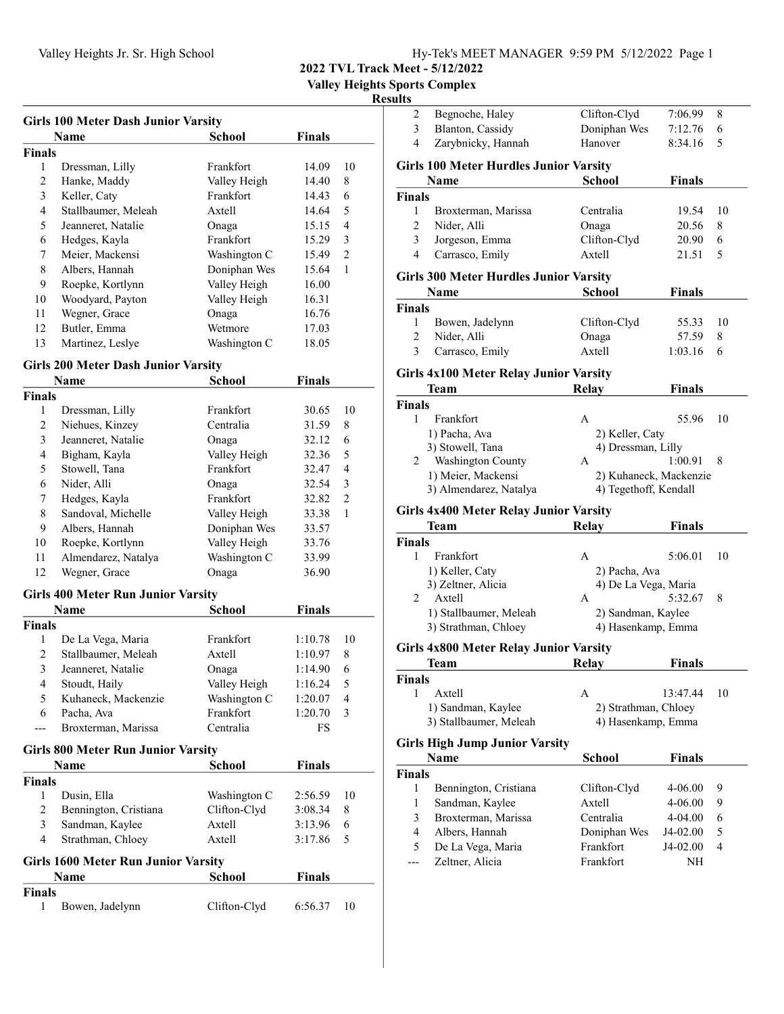Valley Heights Sports Complex

## Resu

| Girls 100 Meter Dash Junior Varsity |                     |              |               |                |
|-------------------------------------|---------------------|--------------|---------------|----------------|
|                                     | Name                | School       | <b>Finals</b> |                |
| <b>Finals</b>                       |                     |              |               |                |
| 1                                   | Dressman, Lilly     | Frankfort    | 14.09         | 10             |
| 2                                   | Hanke, Maddy        | Valley Heigh | 14.40         | 8              |
| 3                                   | Keller, Caty        | Frankfort    | 14.43         | 6              |
| 4                                   | Stallbaumer, Meleah | Axtell       | 14.64         | 5              |
| 5                                   | Jeanneret, Natalie  | Onaga        | 15.15         | 4              |
| 6                                   | Hedges, Kayla       | Frankfort    | 15.29         | 3              |
| 7                                   | Meier, Mackensi     | Washington C | 15.49         | $\overline{2}$ |
| 8                                   | Albers, Hannah      | Doniphan Wes | 15.64         | 1              |
| 9                                   | Roepke, Kortlynn    | Valley Heigh | 16.00         |                |
| 10                                  | Woodyard, Payton    | Valley Heigh | 16.31         |                |
| 11                                  | Wegner, Grace       | Onaga        | 16.76         |                |
| 12                                  | Butler, Emma        | Wetmore      | 17.03         |                |
| 13                                  | Martinez, Leslye    | Washington C | 18.05         |                |
|                                     |                     |              |               |                |

## Girls 200 Meter Dash Junior Varsity

|                         | Name                                       | <b>School</b> | <b>Finals</b> |                |
|-------------------------|--------------------------------------------|---------------|---------------|----------------|
| <b>Finals</b>           |                                            |               |               |                |
| 1                       | Dressman, Lilly                            | Frankfort     | 30.65         | 10             |
| $\overline{c}$          | Niehues, Kinzey                            | Centralia     | 31.59         | 8              |
| 3                       | Jeanneret, Natalie                         | Onaga         | 32.12         | 6              |
| 4                       | Bigham, Kayla                              | Valley Heigh  | 32.36         | 5              |
| 5                       | Stowell, Tana                              | Frankfort     | 32.47         | $\overline{4}$ |
| 6                       | Nider, Alli                                | Onaga         | 32.54         | 3              |
| 7                       | Hedges, Kayla                              | Frankfort     | 32.82         | $\overline{2}$ |
| 8                       | Sandoval, Michelle                         | Valley Heigh  | 33.38         | 1              |
| 9                       | Albers, Hannah                             | Doniphan Wes  | 33.57         |                |
| 10                      | Roepke, Kortlynn                           | Valley Heigh  | 33.76         |                |
| 11                      | Almendarez, Natalya                        | Washington C  | 33.99         |                |
| 12                      | Wegner, Grace                              | Onaga         | 36.90         |                |
|                         | <b>Girls 400 Meter Run Junior Varsity</b>  |               |               |                |
|                         | Name                                       | <b>School</b> | <b>Finals</b> |                |
| Finals                  |                                            |               |               |                |
| 1                       | De La Vega, Maria                          | Frankfort     | 1:10.78       | 10             |
| $\overline{c}$          | Stallbaumer, Meleah                        | Axtell        | 1:10.97       | 8              |
| 3                       | Jeanneret, Natalie                         | Onaga         | 1:14.90       | 6              |
| $\overline{4}$          | Stoudt, Haily                              | Valley Heigh  | 1:16.24       | 5              |
| 5                       | Kuhaneck, Mackenzie                        | Washington C  | 1:20.07       | 4              |
| 6                       | Pacha, Ava                                 | Frankfort     | 1:20.70       | 3              |
| ---                     | Broxterman, Marissa                        | Centralia     | FS            |                |
|                         | <b>Girls 800 Meter Run Junior Varsity</b>  |               |               |                |
|                         | <b>Name</b>                                | <b>School</b> | <b>Finals</b> |                |
| <b>Finals</b>           |                                            |               |               |                |
| 1                       | Dusin, Ella                                | Washington C  | 2:56.59       | 10             |
| $\overline{c}$          | Bennington, Cristiana                      | Clifton-Clyd  | 3:08.34       | 8              |
| 3                       | Sandman, Kaylee                            | Axtell        | 3:13.96       | 6              |
| $\overline{\mathbf{4}}$ | Strathman, Chloey                          | Axtell        | 3:17.86       | 5              |
|                         | <b>Girls 1600 Meter Run Junior Varsity</b> |               |               |                |
|                         | Name                                       | <b>School</b> | Finals        |                |
| Finals                  |                                            |               |               |                |
| 1                       | Bowen, Jadelynn                            | Clifton-Clyd  | 6:56.37       | 10             |

| ults           |                                               |                           |               |    |
|----------------|-----------------------------------------------|---------------------------|---------------|----|
| 2              | Begnoche, Haley                               | Clifton-Clyd              | 7:06.99       | 8  |
| 3              | Blanton, Cassidy                              | Doniphan Wes              | 7:12.76       | 6  |
| 4              | Zarybnicky, Hannah                            | Hanover                   | 8:34.16       | 5  |
|                | <b>Girls 100 Meter Hurdles Junior Varsity</b> |                           |               |    |
|                | Name                                          | <b>School</b>             | <b>Finals</b> |    |
| <b>Finals</b>  |                                               |                           |               |    |
| 1              | Broxterman, Marissa                           | Centralia                 | 19.54         | 10 |
| $\overline{c}$ | Nider, Alli                                   | Onaga                     | 20.56         | 8  |
| 3              | Jorgeson, Emma                                | Clifton-Clyd              | 20.90         | 6  |
| $\overline{4}$ | Carrasco, Emily                               | Axtell                    | 21.51         | 5  |
|                | <b>Girls 300 Meter Hurdles Junior Varsity</b> |                           |               |    |
|                | Name                                          | School                    | <b>Finals</b> |    |
| <b>Finals</b>  |                                               |                           |               |    |
| 1              | Bowen, Jadelynn                               | Clifton-Clyd              | 55.33         | 10 |
| 2              | Nider, Alli                                   | Onaga                     | 57.59         | 8  |
| 3              | Carrasco, Emily                               | Axtell                    | 1:03.16       | 6  |
|                | <b>Girls 4x100 Meter Relay Junior Varsity</b> |                           |               |    |
|                | Team                                          | <b>Relay</b>              | <b>Finals</b> |    |
| <b>Finals</b>  |                                               |                           |               |    |
| 1              | Frankfort                                     | А                         | 55.96         | 10 |
|                | 1) Pacha, Ava                                 | 2) Keller, Caty           |               |    |
|                | 3) Stowell, Tana                              | 4) Dressman, Lilly        |               |    |
| 2              | Washington County                             | A                         | 1:00.91       | 8  |
|                | 1) Meier, Mackensi                            | 2) Kuhaneck, Mackenzie    |               |    |
|                | 3) Almendarez, Natalya                        | 4) Tegethoff, Kendall     |               |    |
|                | <b>Girls 4x400 Meter Relay Junior Varsity</b> |                           |               |    |
|                | Team                                          | Relay                     | <b>Finals</b> |    |
| <b>Finals</b>  |                                               |                           |               |    |
| 1              | Frankfort                                     | А                         | 5:06.01       | 10 |
|                | 1) Keller, Caty                               | 2) Pacha, Ava             |               |    |
|                | 3) Zeltner, Alicia                            | 4) De La Vega, Maria      |               |    |
| $\overline{c}$ | Axtell                                        | A                         | 5:32.67       | 8  |
|                | 1) Stallbaumer, Meleah                        | 2) Sandman, Kaylee        |               |    |
|                | 3) Strathman, Chloey                          | 4) Hasenkamp, Emma        |               |    |
|                | <b>Girls 4x800 Meter Relay Junior Varsity</b> |                           |               |    |
|                | Team                                          | Relay                     | Finals        |    |
| <b>Finals</b>  |                                               |                           |               |    |
| 1              | Axtell                                        | A                         | 13:47.44      | 10 |
|                | 1) Sandman, Kaylee                            | 2) Strathman, Chloey      |               |    |
|                | 3) Stallbaumer, Meleah                        | 4) Hasenkamp, Emma        |               |    |
|                | <b>Girls High Jump Junior Varsity</b>         |                           |               |    |
|                | Name                                          | School                    | <b>Finals</b> |    |
| <b>Finals</b>  |                                               |                           |               |    |
| 1              | Bennington, Cristiana                         | Clifton-Clyd              | 4-06.00       | 9  |
| 1              | Sandman, Kaylee                               | Axtell                    | 4-06.00       | 9  |
| 3              | Broxterman, Marissa                           | Centralia                 | 4-04.00       | 6  |
|                |                                               |                           |               |    |
| 4              | Albers, Hannah                                |                           | J4-02.00      | 5  |
| 5              |                                               | Doniphan Wes<br>Frankfort | J4-02.00      | 4  |
| ---            | De La Vega, Maria                             | Frankfort                 | NΗ            |    |
|                | Zeltner, Alicia                               |                           |               |    |
|                |                                               |                           |               |    |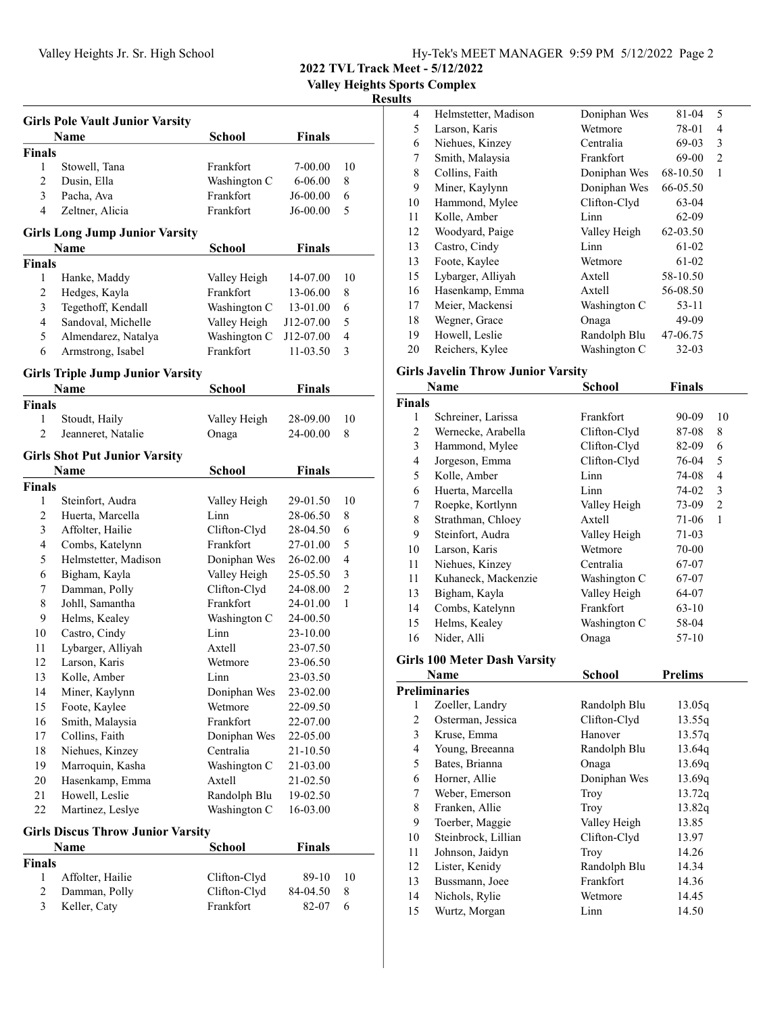| Hy-Tek's MEET MANAGER 9:59 PM 5/12/2022 Page 2 |  |  |  |
|------------------------------------------------|--|--|--|
|------------------------------------------------|--|--|--|

2022 TVL Track Meet - 5/12/2022

Valley Heights Sports Complex

### Results

|                | <b>Girls Pole Vault Junior Varsity</b>   |               |               |                |
|----------------|------------------------------------------|---------------|---------------|----------------|
|                | Name                                     | <b>School</b> | <b>Finals</b> |                |
| <b>Finals</b>  |                                          |               |               |                |
| 1              | Stowell, Tana                            | Frankfort     | 7-00.00       | 10             |
| 2              | Dusin, Ella                              | Washington C  | $6 - 06.00$   | 8              |
| 3              | Pacha, Ava                               | Frankfort     | J6-00.00      | 6              |
| 4              | Zeltner, Alicia                          | Frankfort     | J6-00.00      | 5              |
|                | <b>Girls Long Jump Junior Varsity</b>    |               |               |                |
|                | Name                                     | <b>School</b> | <b>Finals</b> |                |
| <b>Finals</b>  |                                          |               |               |                |
| 1              | Hanke, Maddy                             | Valley Heigh  | 14-07.00      | 10             |
| $\overline{c}$ | Hedges, Kayla                            | Frankfort     | 13-06.00      | 8              |
| 3              | Tegethoff, Kendall                       | Washington C  | 13-01.00      | 6              |
| 4              | Sandoval, Michelle                       | Valley Heigh  | J12-07.00     | 5              |
| 5              | Almendarez, Natalya                      | Washington C  | J12-07.00     | $\overline{4}$ |
| 6              | Armstrong, Isabel                        | Frankfort     | 11-03.50      | 3              |
|                | <b>Girls Triple Jump Junior Varsity</b>  |               |               |                |
|                | <b>Name</b>                              | <b>School</b> | <b>Finals</b> |                |
| <b>Finals</b>  |                                          |               |               |                |
| 1              | Stoudt, Haily                            | Valley Heigh  | 28-09.00      | 10             |
| $\overline{c}$ | Jeanneret, Natalie                       | Onaga         | 24-00.00      | 8              |
|                | <b>Girls Shot Put Junior Varsity</b>     |               |               |                |
|                | Name                                     | <b>School</b> | <b>Finals</b> |                |
| <b>Finals</b>  |                                          |               |               |                |
| 1              | Steinfort, Audra                         | Valley Heigh  | 29-01.50      | 10             |
| 2              | Huerta, Marcella                         | Linn          | 28-06.50      | 8              |
| 3              | Affolter, Hailie                         | Clifton-Clyd  | 28-04.50      | 6              |
| $\overline{4}$ | Combs, Katelynn                          | Frankfort     | 27-01.00      | 5              |
| 5              | Helmstetter, Madison                     | Doniphan Wes  | 26-02.00      | 4              |
| 6              | Bigham, Kayla                            | Valley Heigh  | 25-05.50      | 3              |
| 7              | Damman, Polly                            | Clifton-Clyd  | 24-08.00      | $\overline{2}$ |
| 8              | Johll, Samantha                          | Frankfort     | 24-01.00      | 1              |
| 9              | Helms, Kealey                            | Washington C  | 24-00.50      |                |
| 10             | Castro, Cindy                            | Linn          | 23-10.00      |                |
| 11             | Lybarger, Alliyah                        | Axtell        | 23-07.50      |                |
| 12             | Larson, Karis                            | Wetmore       | 23-06.50      |                |
| 13             | Kolle, Amber                             | Linn          | 23-03.50      |                |
| 14             | Miner, Kaylynn                           | Doniphan Wes  | 23-02.00      |                |
| 15             | Foote, Kaylee                            | Wetmore       | 22-09.50      |                |
| 16             | Smith, Malaysia                          | Frankfort     | 22-07.00      |                |
| 17             | Collins, Faith                           | Doniphan Wes  | 22-05.00      |                |
| 18             | Niehues, Kinzey                          | Centralia     | 21-10.50      |                |
| 19             | Marroquin, Kasha                         | Washington C  | 21-03.00      |                |
| 20             | Hasenkamp, Emma                          | Axtell        | 21-02.50      |                |
| 21             | Howell, Leslie                           | Randolph Blu  | 19-02.50      |                |
| 22             | Martinez, Leslye                         | Washington C  | 16-03.00      |                |
|                | <b>Girls Discus Throw Junior Varsity</b> |               |               |                |
|                | Name                                     | School        | <b>Finals</b> |                |
| <b>Finals</b>  |                                          |               |               |                |
| 1              | Affolter, Hailie                         | Clifton-Clyd  | 89-10         | 10             |
| $\overline{2}$ | Damman, Polly                            | Clifton-Clyd  | 84-04.50      | 8              |
| 3              | Keller, Caty                             | Frankfort     | 82-07         | 6              |

| 4  | Helmstetter, Madison | Doniphan Wes | 81-04     | 5 |
|----|----------------------|--------------|-----------|---|
| 5  | Larson, Karis        | Wetmore      | 78-01     | 4 |
| 6  | Niehues, Kinzey      | Centralia    | $69-03$   | 3 |
| 7  | Smith, Malaysia      | Frankfort    | 69-00     | 2 |
| 8  | Collins, Faith       | Doniphan Wes | 68-10.50  | 1 |
| 9  | Miner, Kaylynn       | Doniphan Wes | 66-05.50  |   |
| 10 | Hammond, Mylee       | Clifton-Clyd | 63-04     |   |
| 11 | Kolle, Amber         | Linn         | 62-09     |   |
| 12 | Woodyard, Paige      | Valley Heigh | 62-03.50  |   |
| 13 | Castro, Cindy        | Linn         | 61-02     |   |
| 13 | Foote, Kaylee        | Wetmore      | 61-02     |   |
| 15 | Lybarger, Alliyah    | Axtell       | 58-10.50  |   |
| 16 | Hasenkamp, Emma      | Axtell       | 56-08.50  |   |
| 17 | Meier, Mackensi      | Washington C | 53-11     |   |
| 18 | Wegner, Grace        | Onaga        | 49-09     |   |
| 19 | Howell, Leslie       | Randolph Blu | 47-06.75  |   |
| 20 | Reichers, Kylee      | Washington C | $32 - 03$ |   |

# Girls Javelin Throw Junior Varsity

|               | Name                         | School       | Finals  |    |
|---------------|------------------------------|--------------|---------|----|
| <b>Finals</b> |                              |              |         |    |
| 1             | Schreiner, Larissa           | Frankfort    | 90-09   | 10 |
| 2             | Wernecke, Arabella           | Clifton-Clyd | 87-08   | 8  |
| 3             | Hammond, Mylee               | Clifton-Clyd | 82-09   | 6  |
| 4             | Jorgeson, Emma               | Clifton-Clyd | 76-04   | 5  |
| 5             | Kolle, Amber                 | Linn         | 74-08   | 4  |
| 6             | Huerta, Marcella             | Linn         | 74-02   | 3  |
| 7             | Roepke, Kortlynn             | Valley Heigh | 73-09   | 2  |
| 8             | Strathman, Chloey            | Axtell       | 71-06   | 1  |
| 9             | Steinfort, Audra             | Valley Heigh | 71-03   |    |
| 10            | Larson, Karis                | Wetmore      | 70-00   |    |
| 11            | Niehues, Kinzey              | Centralia    | 67-07   |    |
| 11            | Kuhaneck, Mackenzie          | Washington C | 67-07   |    |
| 13            | Bigham, Kayla                | Valley Heigh | 64-07   |    |
| 14            | Combs, Katelynn              | Frankfort    | $63-10$ |    |
| 15            | Helms, Kealey                | Washington C | 58-04   |    |
| 16            | Nider, Alli                  | Onaga        | 57-10   |    |
|               | Girls 100 Meter Dash Varsity |              |         |    |

|    | Name                | <b>School</b> | <b>Prelims</b> |
|----|---------------------|---------------|----------------|
|    | Preliminaries       |               |                |
| 1  | Zoeller, Landry     | Randolph Blu  | 13.05q         |
| 2  | Osterman, Jessica   | Clifton-Clyd  | 13.55q         |
| 3  | Kruse, Emma         | Hanover       | 13.57q         |
| 4  | Young, Breeanna     | Randolph Blu  | 13.64q         |
| 5  | Bates, Brianna      | Onaga         | 13.69q         |
| 6  | Horner, Allie       | Doniphan Wes  | 13.69q         |
| 7  | Weber, Emerson      | Troy          | 13.72q         |
| 8  | Franken, Allie      | Troy          | 13.82g         |
| 9  | Toerber, Maggie     | Valley Heigh  | 13.85          |
| 10 | Steinbrock, Lillian | Clifton-Clyd  | 13.97          |
| 11 | Johnson, Jaidyn     | Troy          | 14.26          |
| 12 | Lister, Kenidy      | Randolph Blu  | 14.34          |
| 13 | Bussmann, Joee      | Frankfort     | 14.36          |
| 14 | Nichols, Rylie      | Wetmore       | 14.45          |
| 15 | Wurtz, Morgan       | Linn          | 14.50          |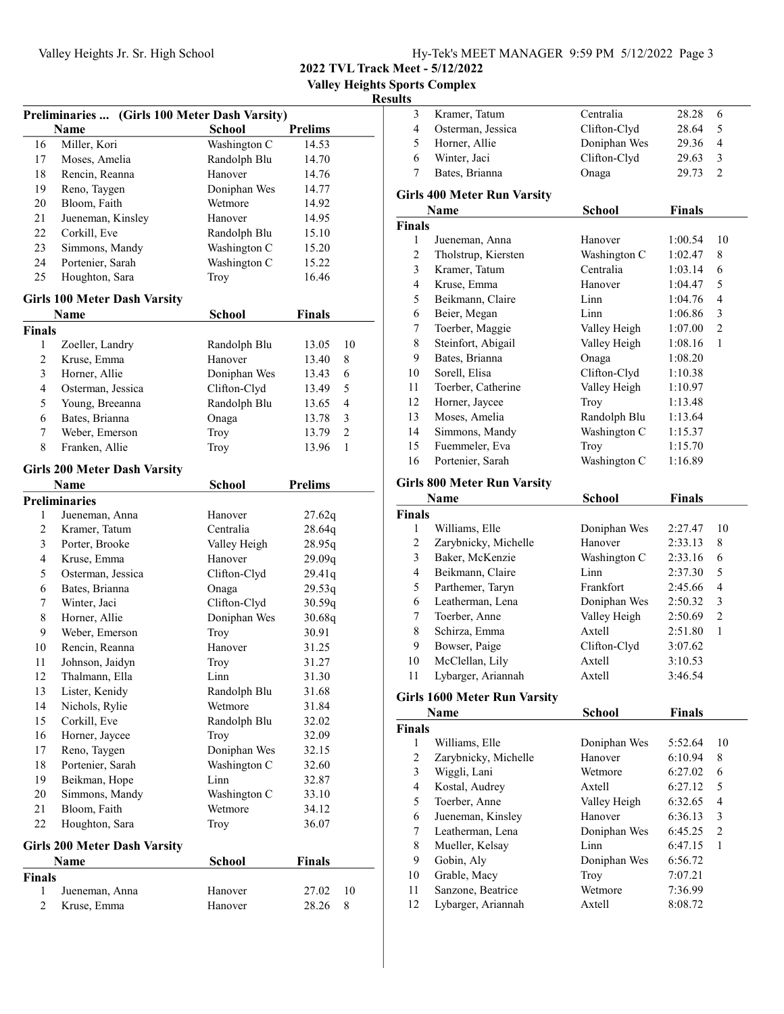| Hy-Tek's MEET MANAGER 9:59 PM 5/12/2022 Page 3 |  |  |  |
|------------------------------------------------|--|--|--|
|------------------------------------------------|--|--|--|

2022 TVL Track Meet - 5/12/2022

Valley Heights Sports Complex

| Preliminaries  (Girls 100 Meter Dash Varsity) |                                     |               |                         |  |
|-----------------------------------------------|-------------------------------------|---------------|-------------------------|--|
|                                               | <b>Name</b>                         | <b>School</b> | <b>Prelims</b>          |  |
| 16                                            | Miller, Kori                        | Washington C  | 14.53                   |  |
| 17                                            | Moses, Amelia                       | Randolph Blu  | 14.70                   |  |
| 18                                            | Rencin, Reanna                      | Hanover       | 14.76                   |  |
| 19                                            | Reno, Taygen                        | Doniphan Wes  | 14.77                   |  |
| 20                                            | Bloom, Faith                        | Wetmore       | 14.92                   |  |
| 21                                            | Jueneman, Kinsley                   | Hanover       | 14.95                   |  |
| 22                                            | Corkill, Eve                        | Randolph Blu  | 15.10                   |  |
| 23                                            | Simmons, Mandy                      | Washington C  | 15.20                   |  |
| 24                                            | Portenier, Sarah                    | Washington C  | 15.22                   |  |
| 25                                            | Houghton, Sara                      | Troy          | 16.46                   |  |
|                                               | <b>Girls 100 Meter Dash Varsity</b> |               |                         |  |
|                                               | Name                                | <b>School</b> | <b>Finals</b>           |  |
| <b>Finals</b>                                 |                                     |               |                         |  |
| 1                                             | Zoeller, Landry                     | Randolph Blu  | 13.05<br>10             |  |
| 2                                             | Kruse, Emma                         | Hanover       | 8<br>13.40              |  |
| 3                                             | Horner, Allie                       | Doniphan Wes  | 13.43<br>6              |  |
| 4                                             | Osterman, Jessica                   | Clifton-Clyd  | 5<br>13.49              |  |
| 5                                             | Young, Breeanna                     | Randolph Blu  | 4<br>13.65              |  |
| 6                                             | Bates, Brianna                      | Onaga         | 13.78<br>3              |  |
| 7                                             | Weber, Emerson                      | Troy          | $\mathfrak{2}$<br>13.79 |  |
| 8                                             | Franken, Allie                      | Troy          | 1<br>13.96              |  |
|                                               |                                     |               |                         |  |
|                                               | <b>Girls 200 Meter Dash Varsity</b> |               |                         |  |
|                                               | Name                                | <b>School</b> | <b>Prelims</b>          |  |
|                                               | <b>Preliminaries</b>                |               |                         |  |
| 1                                             | Jueneman, Anna                      | Hanover       | 27.62q                  |  |
| 2                                             | Kramer, Tatum                       | Centralia     | 28.64q                  |  |
| 3                                             | Porter, Brooke                      | Valley Heigh  | 28.95q                  |  |
| 4                                             | Kruse, Emma                         | Hanover       | 29.09q                  |  |
| 5                                             | Osterman, Jessica                   | Clifton-Clyd  | 29.41q                  |  |
| 6                                             | Bates, Brianna                      | Onaga         | 29.53q                  |  |
| 7                                             | Winter, Jaci                        | Clifton-Clyd  | 30.59q                  |  |
| 8                                             | Horner, Allie                       | Doniphan Wes  | 30.68q                  |  |
| 9                                             | Weber, Emerson                      | Troy          | 30.91                   |  |
| 10                                            | Rencin, Reanna                      | Hanover       | 31.25                   |  |
| 11                                            | Johnson, Jaidyn                     | Troy          | 31.27                   |  |
| 12                                            | Thalmann, Ella                      | Linn          | 31.30                   |  |
| 13                                            | Lister, Kenidy                      | Randolph Blu  | 31.68                   |  |
| 14                                            | Nichols, Rylie                      | Wetmore       | 31.84                   |  |
| 15                                            | Corkill, Eve                        | Randolph Blu  | 32.02                   |  |
| 16                                            | Horner, Jaycee                      | Troy          | 32.09                   |  |
| 17                                            | Reno, Taygen                        | Doniphan Wes  | 32.15                   |  |
| 18                                            | Portenier, Sarah                    | Washington C  | 32.60                   |  |
| 19                                            | Beikman, Hope                       | Linn          | 32.87                   |  |
| 20                                            | Simmons, Mandy                      | Washington C  | 33.10                   |  |
| 21                                            | Bloom, Faith                        | Wetmore       | 34.12                   |  |
| 22                                            | Houghton, Sara                      | Troy          | 36.07                   |  |
|                                               | <b>Girls 200 Meter Dash Varsity</b> |               |                         |  |
|                                               | Name                                | <b>School</b> | Finals                  |  |
| <b>Finals</b>                                 |                                     |               |                         |  |
| $\mathbf{1}$                                  | Jueneman, Anna                      | Hanover       | 10<br>27.02             |  |
| $\overline{c}$                                | Kruse, Emma                         | Hanover       | 28.26<br>8              |  |
|                                               |                                     |               |                         |  |

| sults                   |                                     |                 |               |                         |
|-------------------------|-------------------------------------|-----------------|---------------|-------------------------|
| 3                       | Kramer, Tatum                       | Centralia       | 28.28         | 6                       |
| $\overline{4}$          | Osterman, Jessica                   | Clifton-Clyd    | 28.64         | 5                       |
| 5                       | Horner, Allie                       | Doniphan Wes    | 29.36         | $\overline{4}$          |
| 6                       | Winter, Jaci                        | Clifton-Clyd    | 29.63         | 3                       |
| 7                       | Bates, Brianna                      | Onaga           | 29.73         | $\overline{c}$          |
|                         |                                     |                 |               |                         |
|                         | <b>Girls 400 Meter Run Varsity</b>  |                 |               |                         |
|                         | Name                                | <b>School</b>   | <b>Finals</b> |                         |
| <b>Finals</b>           |                                     |                 |               |                         |
| 1                       | Jueneman, Anna                      | Hanover         | 1:00.54       | 10                      |
| $\mathfrak{2}$          | Tholstrup, Kiersten                 | Washington C    | 1:02.47       | 8                       |
| 3                       | Kramer, Tatum                       | Centralia       | 1:03.14       | 6                       |
| 4                       | Kruse, Emma                         | Hanover         | 1:04.47       | 5                       |
| 5                       | Beikmann, Claire                    | Linn            | 1:04.76       | 4                       |
| 6                       | Beier, Megan                        | Linn            | 1:06.86       | 3                       |
| 7                       | Toerber, Maggie                     | Valley Heigh    | 1:07.00       | $\overline{2}$          |
| $\,$ $\,$               | Steinfort, Abigail                  | Valley Heigh    | 1:08.16       | 1                       |
| 9                       | Bates, Brianna                      | Onaga           | 1:08.20       |                         |
| 10                      | Sorell, Elisa                       | Clifton-Clyd    | 1:10.38       |                         |
| 11                      | Toerber, Catherine                  | Valley Heigh    | 1:10.97       |                         |
| 12                      | Horner, Jaycee                      | Troy            | 1:13.48       |                         |
| 13                      | Moses, Amelia                       | Randolph Blu    | 1:13.64       |                         |
| 14                      | Simmons, Mandy                      | Washington C    | 1:15.37       |                         |
| 15                      | Fuemmeler, Eva                      | Troy            | 1:15.70       |                         |
| 16                      | Portenier, Sarah                    | Washington C    | 1:16.89       |                         |
|                         | <b>Girls 800 Meter Run Varsity</b>  |                 |               |                         |
|                         | Name                                | <b>School</b>   | <b>Finals</b> |                         |
| <b>Finals</b>           |                                     |                 |               |                         |
| 1                       | Williams, Elle                      | Doniphan Wes    | 2:27.47       | 10                      |
| $\mathfrak{2}$          | Zarybnicky, Michelle                | Hanover         | 2:33.13       | 8                       |
| 3                       | Baker, McKenzie                     | Washington C    | 2:33.16       | 6                       |
| $\overline{4}$          | Beikmann, Claire                    | Linn            | 2:37.30       | 5                       |
| 5                       | Parthemer, Taryn                    | Frankfort       | 2:45.66       | 4                       |
| 6                       | Leatherman, Lena                    | Doniphan Wes    | 2:50.32       | 3                       |
| 7                       | Toerber, Anne                       | Valley Heigh    | 2:50.69       | $\overline{c}$          |
| 8                       | Schirza, Emma                       | Axtell          | 2:51.80       | 1                       |
| 9                       | Bowser, Paige                       | Clifton-Clyd    | 3:07.62       |                         |
| 10                      | McClellan, Lily                     | Axtell          | 3:10.53       |                         |
| 11                      | Lybarger, Ariannah                  | Axtell          | 3:46.54       |                         |
|                         | <b>Girls 1600 Meter Run Varsity</b> |                 |               |                         |
|                         | Name                                | School          | <b>Finals</b> |                         |
| <b>Finals</b>           |                                     |                 |               |                         |
| 1                       | Williams, Elle                      | Doniphan Wes    | 5:52.64       | 10                      |
| $\mathfrak{2}$          | Zarybnicky, Michelle                | Hanover         | 6:10.94       | 8                       |
| 3                       | Wiggli, Lani                        | Wetmore         | 6:27.02       | 6                       |
| $\overline{\mathbf{4}}$ | Kostal, Audrey                      | Axtell          | 6:27.12       | 5                       |
| 5                       | Toerber, Anne                       | Valley Heigh    | 6:32.65       | $\overline{\mathbf{4}}$ |
| 6                       | Jueneman, Kinsley                   | Hanover         | 6:36.13       | 3                       |
| 7                       | Leatherman, Lena                    | Doniphan Wes    | 6:45.25       | 2                       |
| 8                       | Mueller, Kelsay                     | Linn            | 6:47.15       | 1                       |
| 9                       |                                     | Doniphan Wes    |               |                         |
|                         | Gobin, Aly                          |                 | 6:56.72       |                         |
| 10<br>11                | Grable, Macy<br>Sanzone, Beatrice   | Troy<br>Wetmore | 7:07.21       |                         |
| 12                      |                                     |                 | 7:36.99       |                         |
|                         | Lybarger, Ariannah                  | Axtell          | 8:08.72       |                         |
|                         |                                     |                 |               |                         |
|                         |                                     |                 |               |                         |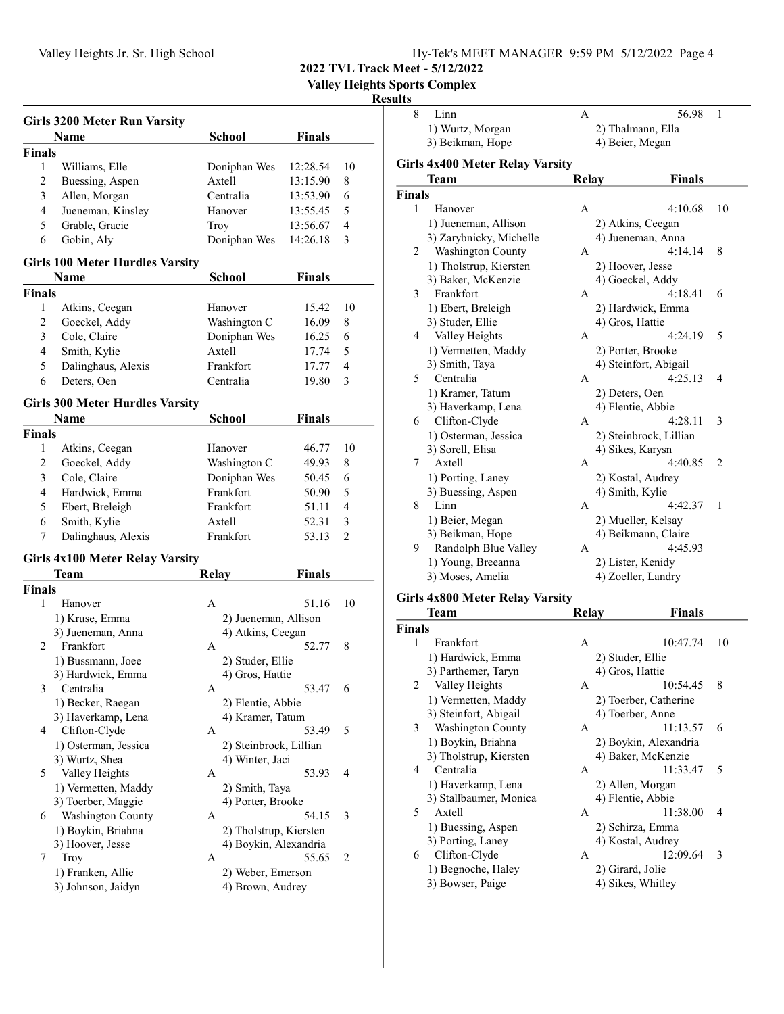| Hy-Tek's MEET MANAGER 9:59 PM 5/12/2022 Page 4 |  |  |
|------------------------------------------------|--|--|
|                                                |  |  |

Valley Heights Sports Complex

## **Results**

|               | <b>Girls 3200 Meter Run Varsity</b>    |                        |               |                |
|---------------|----------------------------------------|------------------------|---------------|----------------|
|               | Name                                   | School                 | Finals        |                |
| <b>Finals</b> |                                        |                        |               |                |
| 1             | Williams, Elle                         | Doniphan Wes           | 12:28.54      | 10             |
| 2             | Buessing, Aspen                        | Axtell                 | 13:15.90      | 8              |
| 3             | Allen, Morgan                          | Centralia              | 13:53.90      | 6              |
| 4             | Jueneman, Kinsley                      | Hanover                | 13:55.45      | 5              |
| 5             | Grable, Gracie                         | Troy                   | 13:56.67      | 4              |
| 6             | Gobin, Aly                             | Doniphan Wes           | 14:26.18      | 3              |
|               | <b>Girls 100 Meter Hurdles Varsity</b> |                        |               |                |
|               | Name                                   | School                 | <b>Finals</b> |                |
| <b>Finals</b> |                                        |                        |               |                |
| 1             | Atkins, Ceegan                         | Hanover                | 15.42         | 10             |
| 2             | Goeckel, Addy                          | Washington C           | 16.09         | 8              |
| 3             | Cole, Claire                           | Doniphan Wes           | 16.25         | 6              |
| 4             | Smith, Kylie                           | Axtell                 | 17.74         | 5              |
| 5             | Dalinghaus, Alexis                     | Frankfort              | 17.77         | 4              |
| 6             | Deters, Oen                            | Centralia              | 19.80         | 3              |
|               | <b>Girls 300 Meter Hurdles Varsity</b> |                        |               |                |
|               | Name                                   | <b>School</b>          | <b>Finals</b> |                |
| <b>Finals</b> |                                        |                        |               |                |
| 1             | Atkins, Ceegan                         | Hanover                | 46.77         | 10             |
| 2             | Goeckel, Addy                          | Washington C           | 49.93         | 8              |
| 3             | Cole, Claire                           | Doniphan Wes           | 50.45         | 6              |
| 4             | Hardwick, Emma                         | Frankfort              | 50.90         | 5              |
| 5             | Ebert, Breleigh                        | Frankfort              | 51.11         | 4              |
| 6             | Smith, Kylie                           | Axtell                 | 52.31         | 3              |
| 7             | Dalinghaus, Alexis                     | Frankfort              | 53.13         | $\overline{2}$ |
|               | <b>Girls 4x100 Meter Relay Varsity</b> |                        |               |                |
|               | Team                                   | <b>Relay</b>           | <b>Finals</b> |                |
| <b>Finals</b> |                                        |                        |               |                |
| 1             | Hanover                                | A                      | 51.16         | 10             |
|               | 1) Kruse, Emma                         | 2) Jueneman, Allison   |               |                |
|               | 3) Jueneman, Anna                      | 4) Atkins, Ceegan      |               |                |
| 2             | Frankfort                              | А                      | 52.77         | 8              |
|               | 1) Bussmann, Joee                      | 2) Studer, Ellie       |               |                |
|               | 3) Hardwick, Emma                      | 4) Gros, Hattie        |               |                |
| 3             | Centralia                              | A                      | 53.47         | 6              |
|               | 1) Becker, Raegan                      | 2) Flentie, Abbie      |               |                |
|               | 3) Haverkamp, Lena                     | 4) Kramer, Tatum       |               |                |
| 4             | Clifton-Clyde                          | А                      | 53.49         | 5              |
|               | 1) Osterman, Jessica                   | 2) Steinbrock, Lillian |               |                |
|               | 3) Wurtz, Shea                         | 4) Winter, Jaci        |               |                |
| 5             | Valley Heights                         | A                      | 53.93         | 4              |
|               | 1) Vermetten, Maddy                    | 2) Smith, Taya         |               |                |
|               | 3) Toerber, Maggie                     | 4) Porter, Brooke      |               |                |
| 6             | Washington County                      | A                      | 54.15         | 3              |
|               | 1) Boykin, Briahna                     | 2) Tholstrup, Kiersten |               |                |
|               | 3) Hoover, Jesse                       | 4) Boykin, Alexandria  |               |                |
| 7             | Troy                                   | A                      | 55.65         | 2              |
|               | 1) Franken, Allie                      | 2) Weber, Emerson      |               |                |
|               | 3) Johnson, Jaidyn                     | 4) Brown, Audrey       |               |                |
|               |                                        |                        |               |                |

| นเเร          |                                        |                 |                        |              |
|---------------|----------------------------------------|-----------------|------------------------|--------------|
| 8             | Linn                                   | А               | 56.98                  | $\mathbf{1}$ |
|               | 1) Wurtz, Morgan                       |                 | 2) Thalmann, Ella      |              |
|               | 3) Beikman, Hope                       | 4) Beier, Megan |                        |              |
|               |                                        |                 |                        |              |
|               | <b>Girls 4x400 Meter Relay Varsity</b> |                 |                        |              |
|               | Team                                   | Relay           | <b>Finals</b>          |              |
| <b>Finals</b> |                                        |                 |                        |              |
| $\mathbf{1}$  | Hanover                                | A               | 4:10.68                | 10           |
|               | 1) Jueneman, Allison                   |                 | 2) Atkins, Ceegan      |              |
|               | 3) Zarybnicky, Michelle                |                 | 4) Jueneman, Anna      |              |
| 2             | <b>Washington County</b>               | A               | 4:14.14                | 8            |
|               | 1) Tholstrup, Kiersten                 |                 | 2) Hoover, Jesse       |              |
|               | 3) Baker, McKenzie                     |                 | 4) Goeckel, Addy       |              |
| 3             | Frankfort                              | A               | 4:18.41                | 6            |
|               | 1) Ebert, Breleigh                     |                 | 2) Hardwick, Emma      |              |
|               | 3) Studer, Ellie                       | 4) Gros, Hattie |                        |              |
| 4             | Valley Heights                         | A               | 4:24.19                | 5            |
|               | 1) Vermetten, Maddy                    |                 | 2) Porter, Brooke      |              |
|               | 3) Smith, Taya                         |                 | 4) Steinfort, Abigail  |              |
| 5             | Centralia                              | A               | 4:25.13                | 4            |
|               | 1) Kramer, Tatum                       | 2) Deters, Oen  |                        |              |
|               | 3) Haverkamp, Lena                     |                 | 4) Flentie, Abbie      |              |
| 6             | Clifton-Clyde                          | A               | 4:28.11                | 3            |
|               | 1) Osterman, Jessica                   |                 | 2) Steinbrock, Lillian |              |
|               | 3) Sorell, Elisa                       |                 | 4) Sikes, Karysn       |              |
| 7             | Axtell                                 | A               | 4:40.85                | 2            |
|               | 1) Porting, Laney                      |                 | 2) Kostal, Audrey      |              |
|               | 3) Buessing, Aspen                     | 4) Smith, Kylie |                        |              |
| 8             | Linn                                   | A               | 4:42.37                | 1            |
|               | 1) Beier, Megan                        |                 | 2) Mueller, Kelsay     |              |
|               | 3) Beikman, Hope                       |                 | 4) Beikmann, Claire    |              |
| 9             | Randolph Blue Valley                   | A               | 4:45.93                |              |
|               | 1) Young, Breeanna                     |                 | 2) Lister, Kenidy      |              |
|               | 3) Moses, Amelia                       |                 | 4) Zoeller, Landry     |              |
|               |                                        |                 |                        |              |

## Girls 4x800 Meter Relay Varsity

|               | Team                     | Relav            | <b>Finals</b>         |  |
|---------------|--------------------------|------------------|-----------------------|--|
| <b>Finals</b> |                          |                  |                       |  |
| 1             | Frankfort                | А                | 10:47.74<br>10        |  |
|               | 1) Hardwick, Emma        | 2) Studer, Ellie |                       |  |
|               | 3) Parthemer, Taryn      | 4) Gros, Hattie  |                       |  |
| 2             | Valley Heights           | A                | 8<br>10:54.45         |  |
|               | 1) Vermetten, Maddy      |                  | 2) Toerber, Catherine |  |
|               | 3) Steinfort, Abigail    |                  | 4) Toerber, Anne      |  |
| 3             | <b>Washington County</b> | A                | 11:13.57<br>6         |  |
|               | 1) Boykin, Briahna       |                  | 2) Boykin, Alexandria |  |
|               | 3) Tholstrup, Kiersten   |                  | 4) Baker, McKenzie    |  |
| 4             | Centralia                | $\mathsf{A}$     | 11:33.47<br>5         |  |
|               | 1) Haverkamp, Lena       |                  | 2) Allen, Morgan      |  |
|               | 3) Stallbaumer, Monica   |                  | 4) Flentie, Abbie     |  |
| 5             | Axtell                   | A                | 11:38.00<br>4         |  |
|               | 1) Buessing, Aspen       |                  | 2) Schirza, Emma      |  |
|               | 3) Porting, Laney        |                  | 4) Kostal, Audrey     |  |
| 6             | Clifton-Clyde            | A                | 12:09.64<br>3         |  |
|               | 1) Begnoche, Haley       | 2) Girard, Jolie |                       |  |
|               | 3) Bowser, Paige         |                  | 4) Sikes, Whitley     |  |
|               |                          |                  |                       |  |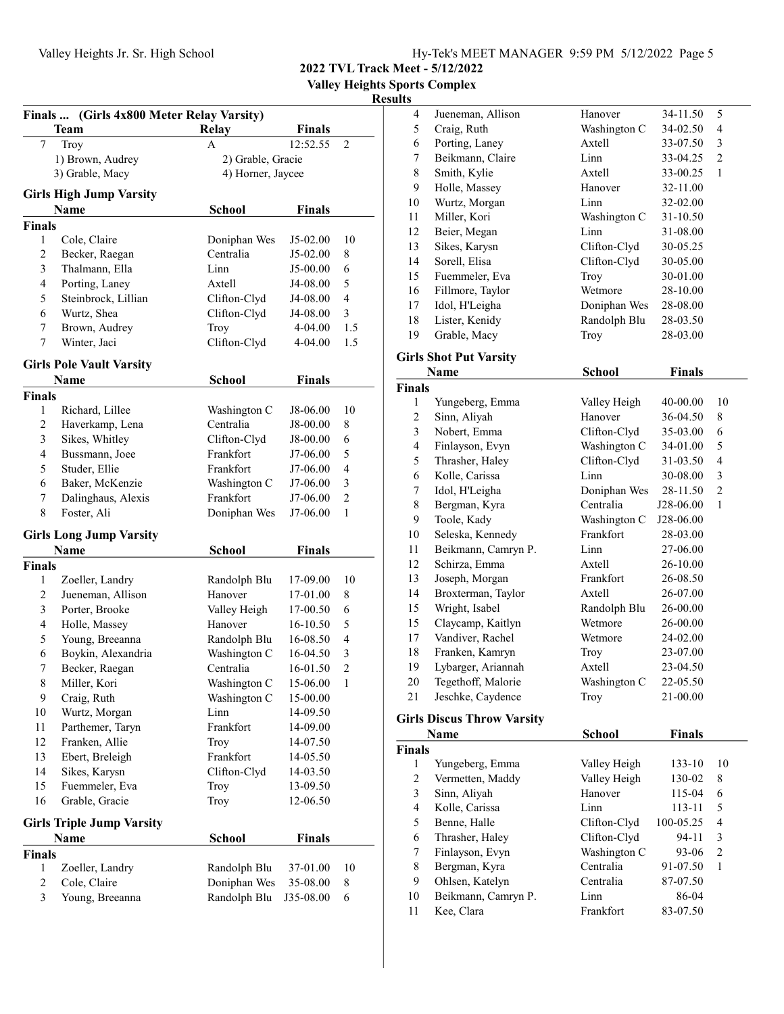Valley Heights Sports Complex

|               | <b>Team</b>                      | <b>Relay</b>              | <b>Finals</b> |                |
|---------------|----------------------------------|---------------------------|---------------|----------------|
| 7             | Troy                             | A                         | 12:52.55      | $\mathfrak{2}$ |
|               | 1) Brown, Audrey                 | 2) Grable, Gracie         |               |                |
|               | 3) Grable, Macy                  | 4) Horner, Jaycee         |               |                |
|               | <b>Girls High Jump Varsity</b>   |                           |               |                |
|               | Name                             |                           | <b>Finals</b> |                |
|               |                                  | School                    |               |                |
| <b>Finals</b> |                                  |                           |               |                |
| 1             | Cole, Claire                     | Doniphan Wes              | J5-02.00      | 10             |
| 2             | Becker, Raegan                   | Centralia                 | J5-02.00      | 8              |
| 3             | Thalmann, Ella                   | Linn                      | J5-00.00      | 6              |
| 4             | Porting, Laney                   | Axtell                    | J4-08.00      | 5              |
| 5             | Steinbrock, Lillian              | Clifton-Clyd              | J4-08.00      | 4              |
| 6             | Wurtz, Shea                      | Clifton-Clyd              | J4-08.00      | 3              |
| 7             | Brown, Audrey                    | Troy                      | 4-04.00       | 1.5            |
| 7             | Winter, Jaci                     | Clifton-Clyd              | 4-04.00       | 1.5            |
|               | <b>Girls Pole Vault Varsity</b>  |                           |               |                |
|               | Name                             | School                    | <b>Finals</b> |                |
| <b>Finals</b> |                                  |                           |               |                |
| 1             | Richard, Lillee                  |                           | J8-06.00      | 10             |
| 2             | Haverkamp, Lena                  | Washington C<br>Centralia | J8-00.00      | 8              |
| 3             |                                  | Clifton-Clyd              |               |                |
|               | Sikes, Whitley                   | Frankfort                 | J8-00.00      | 6              |
| 4             | Bussmann, Joee                   |                           | J7-06.00      | 5              |
| 5             | Studer, Ellie                    | Frankfort                 | J7-06.00      | 4              |
| 6             | Baker, McKenzie                  | Washington C              | J7-06.00      | 3              |
| 7             | Dalinghaus, Alexis               | Frankfort                 | J7-06.00      | $\overline{2}$ |
| 8             | Foster, Ali                      | Doniphan Wes              | J7-06.00      | 1              |
|               | <b>Girls Long Jump Varsity</b>   |                           |               |                |
|               | Name                             | School                    | <b>Finals</b> |                |
| <b>Finals</b> |                                  |                           |               |                |
| 1             | Zoeller, Landry                  | Randolph Blu              | 17-09.00      | 10             |
| 2             | Jueneman, Allison                | Hanover                   | 17-01.00      | 8              |
| 3             | Porter, Brooke                   | Valley Heigh              | 17-00.50      | 6              |
| 4             | Holle, Massey                    | Hanover                   | 16-10.50      | 5              |
| 5             | Young, Breeanna                  | Randolph Blu              | 16-08.50      | 4              |
| 6             | Boykin, Alexandria               | Washington C              | 16-04.50      | 3              |
| 7             | Becker, Raegan                   | Centralia                 | 16-01.50      | $\overline{c}$ |
| 8             | Miller, Kori                     | Washington C              | 15-06.00      | 1              |
| 9             |                                  |                           | 15-00.00      |                |
| 10            | Craig, Ruth                      | Washington C<br>Linn      | 14-09.50      |                |
|               | Wurtz, Morgan                    |                           |               |                |
| 11            | Parthemer, Taryn                 | Frankfort                 | 14-09.00      |                |
| 12            | Franken, Allie                   | Troy                      | 14-07.50      |                |
| 13            | Ebert, Breleigh                  | Frankfort                 | 14-05.50      |                |
| 14            | Sikes, Karysn                    | Clifton-Clyd              | 14-03.50      |                |
| 15            | Fuemmeler, Eva                   | Troy                      | 13-09.50      |                |
| 16            | Grable, Gracie                   | Troy                      | 12-06.50      |                |
|               | <b>Girls Triple Jump Varsity</b> |                           |               |                |
|               | Name                             | School                    | <b>Finals</b> |                |
| <b>Finals</b> |                                  |                           |               |                |
| 1             | Zoeller, Landry                  | Randolph Blu              | 37-01.00      | 10             |
| 2             | Cole, Claire                     | Doniphan Wes              | 35-08.00      | 8              |
| 3             | Young, Breeanna                  | Randolph Blu              |               | 6              |
|               |                                  |                           | J35-08.00     |                |
|               |                                  |                           |               |                |

| 4                                 | Jueneman, Allison             | Hanover       | 34-11.50      | 5                        |  |  |
|-----------------------------------|-------------------------------|---------------|---------------|--------------------------|--|--|
| 5                                 | Craig, Ruth                   | Washington C  | 34-02.50      | $\overline{\mathcal{L}}$ |  |  |
| 6                                 | Porting, Laney                | Axtell        | 33-07.50      | 3                        |  |  |
| 7                                 | Beikmann, Claire              | Linn          | 33-04.25      | $\overline{c}$           |  |  |
| 8                                 | Smith, Kylie                  | Axtell        | 33-00.25      | 1                        |  |  |
| 9                                 | Holle, Massey                 | Hanover       | 32-11.00      |                          |  |  |
| 10                                | Wurtz, Morgan                 | Linn          | 32-02.00      |                          |  |  |
| 11                                | Miller, Kori                  | Washington C  | 31-10.50      |                          |  |  |
| 12                                | Beier, Megan                  | Linn          | 31-08.00      |                          |  |  |
| 13                                | Sikes, Karysn                 | Clifton-Clyd  | 30-05.25      |                          |  |  |
| 14                                | Sorell, Elisa                 | Clifton-Clyd  | 30-05.00      |                          |  |  |
| 15                                | Fuemmeler, Eva                | Troy          | 30-01.00      |                          |  |  |
| 16                                | Fillmore, Taylor              | Wetmore       | 28-10.00      |                          |  |  |
| 17                                | Idol, H'Leigha                | Doniphan Wes  | 28-08.00      |                          |  |  |
| 18                                | Lister, Kenidy                | Randolph Blu  | 28-03.50      |                          |  |  |
| 19                                | Grable, Macy                  | Troy          | 28-03.00      |                          |  |  |
|                                   | <b>Girls Shot Put Varsity</b> |               |               |                          |  |  |
|                                   | Name                          | <b>School</b> | <b>Finals</b> |                          |  |  |
| <b>Finals</b>                     |                               |               |               |                          |  |  |
| 1                                 | Yungeberg, Emma               | Valley Heigh  | 40-00.00      | 10                       |  |  |
| $\overline{c}$                    | Sinn, Aliyah                  | Hanover       | 36-04.50      | 8                        |  |  |
| 3                                 | Nobert, Emma                  | Clifton-Clyd  | 35-03.00      | 6                        |  |  |
| 4                                 | Finlayson, Evyn               | Washington C  | 34-01.00      | 5                        |  |  |
| 5                                 | Thrasher, Haley               | Clifton-Clyd  | 31-03.50      | $\overline{4}$           |  |  |
| 6                                 | Kolle, Carissa                | Linn          | 30-08.00      | $\overline{\mathbf{3}}$  |  |  |
| 7                                 | Idol, H'Leigha                | Doniphan Wes  | 28-11.50      | $\overline{c}$           |  |  |
| $\,$ $\,$                         | Bergman, Kyra                 | Centralia     | J28-06.00     | $\mathbf{1}$             |  |  |
| 9                                 | Toole, Kady                   | Washington C  | J28-06.00     |                          |  |  |
| 10                                | Seleska, Kennedy              | Frankfort     | 28-03.00      |                          |  |  |
| 11                                | Beikmann, Camryn P.           | Linn          | 27-06.00      |                          |  |  |
| 12                                | Schirza, Emma                 | Axtell        | 26-10.00      |                          |  |  |
| 13                                | Joseph, Morgan                | Frankfort     | 26-08.50      |                          |  |  |
| 14                                | Broxterman, Taylor            | Axtell        | 26-07.00      |                          |  |  |
| 15                                | Wright, Isabel                | Randolph Blu  | 26-00.00      |                          |  |  |
| 15                                | Claycamp, Kaitlyn             | Wetmore       | 26-00.00      |                          |  |  |
| 17                                | Vandiver, Rachel              | Wetmore       | 24-02.00      |                          |  |  |
| 18                                | Franken, Kamryn               | Troy          | 23-07.00      |                          |  |  |
| 19                                | Lybarger, Ariannah            | Axtell        | 23-04.50      |                          |  |  |
| 20                                | Tegethoff, Malorie            | Washington C  | 22-05.50      |                          |  |  |
| 21                                | Jeschke, Caydence             | Troy          | 21-00.00      |                          |  |  |
|                                   |                               |               |               |                          |  |  |
| <b>Girls Discus Throw Varsity</b> |                               |               |               |                          |  |  |
|                                   | Name                          | <b>School</b> | <b>Finals</b> |                          |  |  |
| Finals                            |                               |               |               |                          |  |  |

| inals          |                     |              |           |    |
|----------------|---------------------|--------------|-----------|----|
| 1              | Yungeberg, Emma     | Valley Heigh | 133-10    | 10 |
| $\overline{c}$ | Vermetten, Maddy    | Valley Heigh | 130-02    | 8  |
| 3              | Sinn, Aliyah        | Hanover      | 115-04    | 6  |
| 4              | Kolle, Carissa      | Linn         | 113-11    | 5  |
| 5              | Benne, Halle        | Clifton-Clyd | 100-05.25 | 4  |
| 6              | Thrasher, Haley     | Clifton-Clyd | 94-11     | 3  |
| 7              | Finlayson, Evyn     | Washington C | 93-06     | 2  |
| 8              | Bergman, Kyra       | Centralia    | 91-07.50  | 1  |
| 9              | Ohlsen, Katelyn     | Centralia    | 87-07.50  |    |
| 10             | Beikmann, Camryn P. | Linn         | 86-04     |    |
| 11             | Kee, Clara          | Frankfort    | 83-07.50  |    |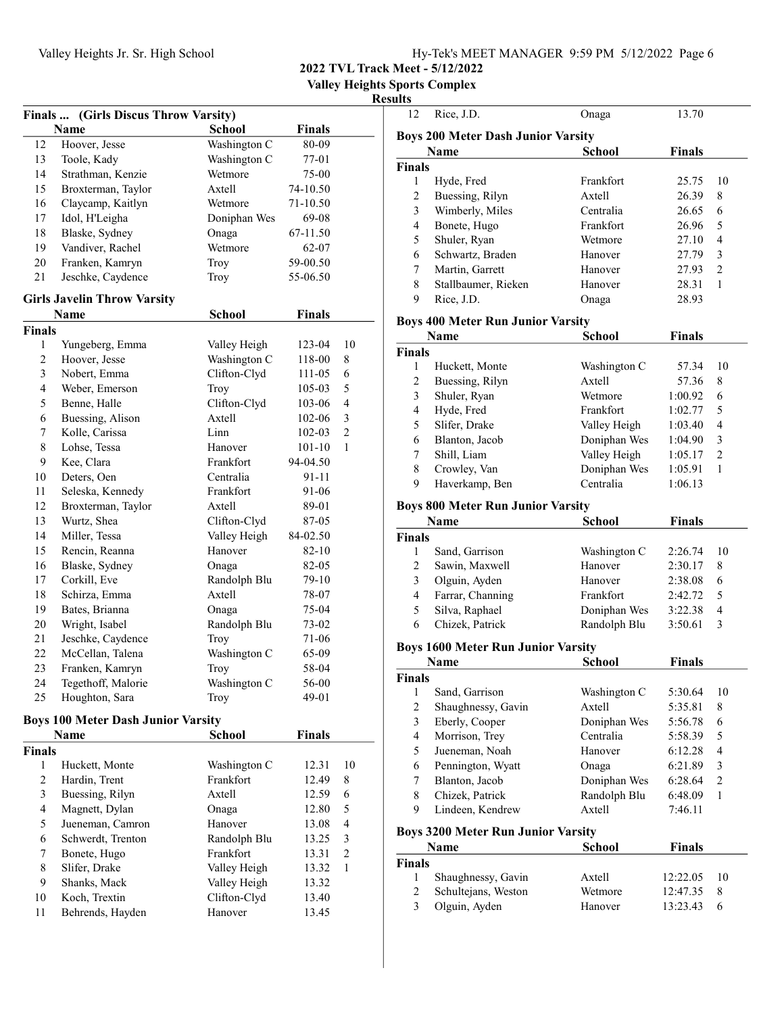2022 TVL Track Meet - 5/12/2022

Valley Heights Sports Complex

|                | Finals  (Girls Discus Throw Varsity)      |               |               |                |
|----------------|-------------------------------------------|---------------|---------------|----------------|
|                | Name                                      | <b>School</b> | <b>Finals</b> |                |
| 12             | Hoover, Jesse                             | Washington C  | 80-09         |                |
| 13             | Toole, Kady                               | Washington C  | 77-01         |                |
| 14             | Strathman, Kenzie                         | Wetmore       | 75-00         |                |
| 15             | Broxterman, Taylor                        | Axtell        | 74-10.50      |                |
| 16             | Claycamp, Kaitlyn                         | Wetmore       | 71-10.50      |                |
| 17             | Idol, H'Leigha                            | Doniphan Wes  | 69-08         |                |
| 18             | Blaske, Sydney                            | Onaga         | 67-11.50      |                |
| 19             | Vandiver, Rachel                          | Wetmore       | 62-07         |                |
| 20             | Franken, Kamryn                           | Troy          | 59-00.50      |                |
| 21             | Jeschke, Caydence                         | Troy          | 55-06.50      |                |
|                | <b>Girls Javelin Throw Varsity</b>        |               |               |                |
|                | Name                                      | School        | <b>Finals</b> |                |
| <b>Finals</b>  |                                           |               |               |                |
| 1              | Yungeberg, Emma                           | Valley Heigh  | 123-04        | 10             |
| $\overline{c}$ | Hoover, Jesse                             | Washington C  | 118-00        | 8              |
| 3              | Nobert, Emma                              | Clifton-Clyd  | 111-05        | 6              |
| 4              | Weber, Emerson                            | Troy          | 105-03        | 5              |
| 5              | Benne, Halle                              | Clifton-Clyd  | 103-06        | 4              |
| 6              | Buessing, Alison                          | Axtell        | 102-06        | 3              |
| 7              | Kolle, Carissa                            | Linn          | 102-03        | $\overline{c}$ |
| 8              | Lohse, Tessa                              | Hanover       | 101-10        | 1              |
| 9              | Kee, Clara                                | Frankfort     | 94-04.50      |                |
| 10             | Deters, Oen                               | Centralia     | 91-11         |                |
| 11             | Seleska, Kennedy                          | Frankfort     | 91-06         |                |
| 12             | Broxterman, Taylor                        | Axtell        | 89-01         |                |
| 13             | Wurtz, Shea                               | Clifton-Clyd  | 87-05         |                |
| 14             | Miller, Tessa                             | Valley Heigh  | 84-02.50      |                |
| 15             | Rencin, Reanna                            | Hanover       | 82-10         |                |
| 16             | Blaske, Sydney                            | Onaga         | 82-05         |                |
| 17             | Corkill, Eve                              | Randolph Blu  | 79-10         |                |
| 18             | Schirza, Emma                             | Axtell        | 78-07         |                |
| 19             | Bates, Brianna                            | Onaga         | 75-04         |                |
| 20             | Wright, Isabel                            | Randolph Blu  | 73-02         |                |
| 21             | Jeschke, Caydence                         | Troy          | 71-06         |                |
| 22             | McCellan, Talena                          | Washington C  | 65-09         |                |
| 23             | Franken, Kamryn                           | Troy          | 58-04         |                |
| 24             | Tegethoff, Malorie                        | Washington C  | 56-00         |                |
| 25             | Houghton, Sara                            | Troy          | 49-01         |                |
|                | <b>Boys 100 Meter Dash Junior Varsity</b> |               |               |                |
|                | Name                                      | <b>School</b> | <b>Finals</b> |                |
| <b>Finals</b>  |                                           |               |               |                |
| 1              | Huckett, Monte                            | Washington C  | 12.31         | 10             |
| 2              | Hardin, Trent                             | Frankfort     | 12.49         | 8              |
| 3              | Buessing, Rilyn                           | Axtell        | 12.59         | 6              |
| 4              | Magnett, Dylan                            | Onaga         | 12.80         | 5              |
| 5              | Jueneman, Camron                          | Hanover       | 13.08         | 4              |
| 6              | Schwerdt, Trenton                         | Randolph Blu  | 13.25         | 3              |
| 7              | Bonete, Hugo                              | Frankfort     | 13.31         | $\overline{c}$ |
| 8              | Slifer, Drake                             | Valley Heigh  | 13.32         | 1              |
| 9              | Shanks, Mack                              | Valley Heigh  | 13.32         |                |
| 10             | Koch, Trextin                             | Clifton-Clyd  | 13.40         |                |
| 11             | Behrends, Hayden                          | Hanover       | 13.45         |                |
|                |                                           |               |               |                |

| 12                                        | Rice, J.D.                                                                   | Onaga         | 13.70         |                |  |  |
|-------------------------------------------|------------------------------------------------------------------------------|---------------|---------------|----------------|--|--|
|                                           |                                                                              |               |               |                |  |  |
|                                           | <b>Boys 200 Meter Dash Junior Varsity</b><br>Name<br>School<br><b>Finals</b> |               |               |                |  |  |
| <b>Finals</b>                             |                                                                              |               |               |                |  |  |
| 1                                         | Hyde, Fred                                                                   | Frankfort     | 25.75         | 10             |  |  |
| 2                                         | Buessing, Rilyn                                                              | Axtell        | 26.39         | 8              |  |  |
| 3                                         | Wimberly, Miles                                                              | Centralia     | 26.65         | 6              |  |  |
| $\overline{4}$                            | Bonete, Hugo                                                                 | Frankfort     | 26.96         | 5              |  |  |
| 5                                         | Shuler, Ryan                                                                 | Wetmore       | 27.10         | 4              |  |  |
| 6                                         | Schwartz, Braden                                                             | Hanover       | 27.79         | 3              |  |  |
| 7                                         | Martin, Garrett                                                              | Hanover       | 27.93         | 2              |  |  |
| 8                                         | Stallbaumer, Rieken                                                          | Hanover       | 28.31         | 1              |  |  |
| 9                                         | Rice, J.D.                                                                   | Onaga         | 28.93         |                |  |  |
|                                           |                                                                              |               |               |                |  |  |
|                                           | <b>Boys 400 Meter Run Junior Varsity</b>                                     |               |               |                |  |  |
|                                           | Name                                                                         | <b>School</b> | <b>Finals</b> |                |  |  |
| <b>Finals</b>                             |                                                                              |               |               |                |  |  |
| 1                                         | Huckett, Monte                                                               | Washington C  | 57.34         | 10             |  |  |
| $\overline{2}$                            | Buessing, Rilyn                                                              | Axtell        | 57.36         | 8              |  |  |
| 3                                         | Shuler, Ryan                                                                 | Wetmore       | 1:00.92       | 6              |  |  |
| $\overline{4}$                            | Hyde, Fred                                                                   | Frankfort     | 1:02.77       | 5              |  |  |
| 5                                         | Slifer, Drake                                                                | Valley Heigh  | 1:03.40       | 4              |  |  |
| 6                                         | Blanton, Jacob                                                               | Doniphan Wes  | 1:04.90       | 3              |  |  |
| 7                                         | Shill, Liam                                                                  | Valley Heigh  | 1:05.17       | 2              |  |  |
| 8                                         | Crowley, Van                                                                 | Doniphan Wes  | 1:05.91       | 1              |  |  |
| 9                                         | Haverkamp, Ben                                                               | Centralia     | 1:06.13       |                |  |  |
|                                           | <b>Boys 800 Meter Run Junior Varsity</b>                                     |               |               |                |  |  |
|                                           | <b>Name</b>                                                                  | <b>School</b> | <b>Finals</b> |                |  |  |
| <b>Finals</b>                             |                                                                              |               |               |                |  |  |
| 1                                         | Sand, Garrison                                                               | Washington C  | 2:26.74       | 10             |  |  |
| 2                                         | Sawin, Maxwell                                                               | Hanover       | 2:30.17       | 8              |  |  |
| 3                                         | Olguin, Ayden                                                                | Hanover       | 2:38.08       | 6              |  |  |
| 4                                         | Farrar, Channing                                                             | Frankfort     | 2:42.72       | 5              |  |  |
| 5                                         | Silva, Raphael                                                               | Doniphan Wes  | 3:22.38       | 4              |  |  |
| 6                                         | Chizek, Patrick                                                              | Randolph Blu  | 3:50.61       | 3              |  |  |
|                                           |                                                                              |               |               |                |  |  |
|                                           | <b>Boys 1600 Meter Run Junior Varsity</b>                                    |               |               |                |  |  |
|                                           | <b>Name</b>                                                                  | <b>School</b> | <b>Finals</b> |                |  |  |
| <b>Finals</b>                             |                                                                              |               |               |                |  |  |
| 1                                         | Sand, Garrison                                                               | Washington C  | 5:30.64       | 10             |  |  |
| 2                                         | Shaughnessy, Gavin                                                           | Axtell        | 5:35.81       | 8              |  |  |
| 3                                         | Eberly, Cooper                                                               | Doniphan Wes  | 5:56.78       | 6              |  |  |
| 4                                         | Morrison, Trey                                                               | Centralia     | 5:58.39       | 5              |  |  |
| 5                                         | Jueneman, Noah                                                               | Hanover       | 6:12.28       | 4              |  |  |
| 6                                         | Pennington, Wyatt                                                            | Onaga         | 6:21.89       | 3              |  |  |
| 7                                         | Blanton, Jacob                                                               | Doniphan Wes  | 6:28.64       | $\overline{c}$ |  |  |
| 8                                         | Chizek, Patrick                                                              | Randolph Blu  | 6:48.09       | 1              |  |  |
| 9                                         | Lindeen, Kendrew                                                             | Axtell        | 7:46.11       |                |  |  |
| <b>Boys 3200 Meter Run Junior Varsity</b> |                                                                              |               |               |                |  |  |
|                                           | Name                                                                         | School        | <b>Finals</b> |                |  |  |
| <b>Finals</b>                             |                                                                              |               |               |                |  |  |
| 1                                         | Shaughnessy, Gavin                                                           | Axtell        | 12:22.05      | 10             |  |  |
| 2                                         | Schultejans, Weston                                                          | Wetmore       | 12:47.35      | 8              |  |  |
| 3                                         | Olguin, Ayden                                                                | Hanover       | 13:23.43      | 6              |  |  |
|                                           |                                                                              |               |               |                |  |  |
|                                           |                                                                              |               |               |                |  |  |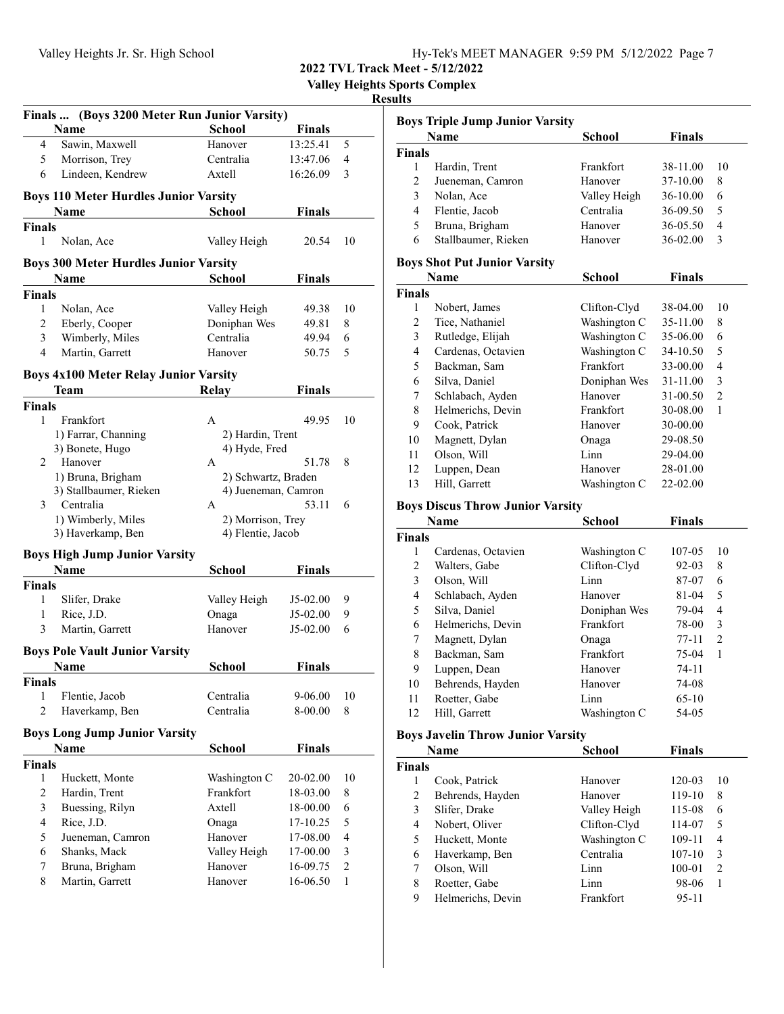| Hv-Tek's MEET MANAGER 9:59 PM $5/12/2022$ Page 7 |  |  |
|--------------------------------------------------|--|--|
|                                                  |  |  |

Valley Heights Sports Complex

### Results

| Finals  (Boys 3200 Meter Run Junior Varsity) |                                                      |                     |               |                |  |
|----------------------------------------------|------------------------------------------------------|---------------------|---------------|----------------|--|
|                                              | <b>Name</b>                                          | School              | <b>Finals</b> |                |  |
| 4                                            | Sawin, Maxwell                                       | Hanover             | 13:25.41      | 5              |  |
| 5                                            | Morrison, Trey                                       | Centralia           | 13:47.06      | 4              |  |
| 6                                            | Lindeen, Kendrew                                     | Axtell              | 16:26.09<br>3 |                |  |
|                                              |                                                      |                     |               |                |  |
|                                              | <b>Boys 110 Meter Hurdles Junior Varsity</b><br>Name | School              | <b>Finals</b> |                |  |
|                                              |                                                      |                     |               |                |  |
| <b>Finals</b><br>1                           | Nolan, Ace                                           | Valley Heigh        | 20.54         | 10             |  |
|                                              |                                                      |                     |               |                |  |
|                                              | <b>Boys 300 Meter Hurdles Junior Varsity</b>         |                     |               |                |  |
|                                              | Name                                                 | <b>School</b>       | <b>Finals</b> |                |  |
| <b>Finals</b>                                |                                                      |                     |               |                |  |
| 1                                            | Nolan, Ace                                           | Valley Heigh        | 49.38         | 10             |  |
| $\overline{c}$                               | Eberly, Cooper                                       | Doniphan Wes        | 49.81         | 8              |  |
| 3                                            | Wimberly, Miles                                      | Centralia           | 49.94         | 6              |  |
| $\overline{4}$                               | Martin, Garrett                                      | Hanover             | 50.75         | 5              |  |
|                                              | <b>Boys 4x100 Meter Relay Junior Varsity</b>         |                     |               |                |  |
|                                              | Team                                                 | <b>Relay</b>        | <b>Finals</b> |                |  |
| <b>Finals</b>                                |                                                      |                     |               |                |  |
| 1                                            | Frankfort                                            | A                   | 49.95         | 10             |  |
|                                              | 1) Farrar, Channing                                  | 2) Hardin, Trent    |               |                |  |
|                                              | 3) Bonete, Hugo                                      | 4) Hyde, Fred       |               |                |  |
| 2                                            | Hanover                                              | A                   | 51.78         | 8              |  |
|                                              | 1) Bruna, Brigham                                    | 2) Schwartz, Braden |               |                |  |
|                                              | 3) Stallbaumer, Rieken                               | 4) Jueneman, Camron |               |                |  |
| 3                                            | Centralia                                            | A                   | 53.11         | 6              |  |
|                                              | 1) Wimberly, Miles                                   | 2) Morrison, Trey   |               |                |  |
|                                              | 3) Haverkamp, Ben                                    | 4) Flentie, Jacob   |               |                |  |
|                                              | <b>Boys High Jump Junior Varsity</b>                 |                     |               |                |  |
|                                              | <b>Name</b>                                          | <b>School</b>       | <b>Finals</b> |                |  |
| <b>Finals</b>                                |                                                      |                     |               |                |  |
| 1                                            | Slifer, Drake                                        | Valley Heigh        | J5-02.00      | 9              |  |
| 1                                            | Rice, J.D.                                           | Onaga               | J5-02.00      | 9              |  |
| 3                                            | Martin, Garrett                                      | Hanover             | $J5-02.00$    | 6              |  |
|                                              | <b>Boys Pole Vault Junior Varsity</b>                |                     |               |                |  |
|                                              | Name                                                 | School              | Finals        |                |  |
| <b>Finals</b>                                |                                                      |                     |               |                |  |
| 1                                            | Flentie, Jacob                                       | Centralia           | 9-06.00       | 10             |  |
| $\overline{2}$                               | Haverkamp, Ben                                       | Centralia           | 8-00.00       | 8              |  |
|                                              |                                                      |                     |               |                |  |
|                                              | <b>Boys Long Jump Junior Varsity</b>                 |                     |               |                |  |
|                                              | Name                                                 | <b>School</b>       | <b>Finals</b> |                |  |
| <b>Finals</b>                                |                                                      |                     |               |                |  |
| 1                                            | Huckett, Monte                                       | Washington C        | 20-02.00      | 10             |  |
| 2                                            | Hardin, Trent                                        | Frankfort           | 18-03.00      | 8              |  |
| 3                                            | Buessing, Rilyn                                      | Axtell              | 18-00.00      | 6              |  |
| $\overline{\mathbf{4}}$                      | Rice, J.D.                                           | Onaga               | 17-10.25      | 5              |  |
| 5                                            | Jueneman, Camron                                     | Hanover             | 17-08.00      | 4              |  |
| 6                                            | Shanks, Mack                                         | Valley Heigh        | 17-00.00      | 3              |  |
| 7                                            | Bruna, Brigham                                       | Hanover             | 16-09.75      | $\overline{c}$ |  |
| 8                                            | Martin, Garrett                                      | Hanover             | 16-06.50      | 1              |  |

|        | Name                | <b>School</b> | <b>Finals</b> |     |
|--------|---------------------|---------------|---------------|-----|
| Finals |                     |               |               |     |
|        | Hardin, Trent       | Frankfort     | 38-11.00      | -10 |
| 2      | Jueneman, Camron    | Hanover       | 37-10.00      | 8   |
| 3      | Nolan, Ace          | Valley Heigh  | 36-10.00      | 6   |
| 4      | Flentie, Jacob      | Centralia     | 36-09.50      | 5   |
| 5      | Bruna, Brigham      | Hanover       | 36-05.50      | 4   |
| 6      | Stallbaumer, Rieken | Hanover       | 36-02.00      | 3   |

## Boys Shot Put Junior Varsity

| Name          |                    | <b>School</b> | <b>Finals</b> |    |
|---------------|--------------------|---------------|---------------|----|
| <b>Finals</b> |                    |               |               |    |
| 1             | Nobert, James      | Clifton-Clyd  | 38-04.00      | 10 |
| 2             | Tice, Nathaniel    | Washington C  | 35-11.00      | 8  |
| 3             | Rutledge, Elijah   | Washington C  | 35-06.00      | 6  |
| 4             | Cardenas, Octavien | Washington C  | 34-10.50      | 5  |
| 5             | Backman, Sam       | Frankfort     | 33-00.00      | 4  |
| 6             | Silva, Daniel      | Doniphan Wes  | 31-11.00      | 3  |
| 7             | Schlabach, Ayden   | Hanover       | 31-00.50      | 2  |
| 8             | Helmerichs, Devin  | Frankfort     | 30-08.00      | 1  |
| 9             | Cook, Patrick      | Hanover       | 30-00.00      |    |
| 10            | Magnett, Dylan     | Onaga         | 29-08.50      |    |
| 11            | Olson, Will        | Linn          | 29-04.00      |    |
| 12            | Luppen, Dean       | Hanover       | 28-01.00      |    |
| 13            | Hill, Garrett      | Washington C  | 22-02.00      |    |

### Boys Discus Throw Junior Varsity

| Name          |                    | School       | <b>Finals</b> |    |
|---------------|--------------------|--------------|---------------|----|
| <b>Finals</b> |                    |              |               |    |
| 1             | Cardenas, Octavien | Washington C | 107-05        | 10 |
| 2             | Walters, Gabe      | Clifton-Clyd | $92 - 03$     | 8  |
| 3             | Olson, Will        | Linn         | 87-07         | 6  |
| 4             | Schlabach, Ayden   | Hanover      | 81-04         | 5  |
| 5             | Silva, Daniel      | Doniphan Wes | 79-04         | 4  |
| 6             | Helmerichs, Devin  | Frankfort    | 78-00         | 3  |
| 7             | Magnett, Dylan     | Onaga        | $77-11$       | 2  |
| 8             | Backman, Sam       | Frankfort    | 75-04         | 1  |
| 9             | Luppen, Dean       | Hanover      | $74 - 11$     |    |
| 10            | Behrends, Hayden   | Hanover      | 74-08         |    |
| 11            | Roetter, Gabe      | Linn         | $65-10$       |    |
| 12            | Hill, Garrett      | Washington C | 54-05         |    |

### Boys Javelin Throw Junior Varsity

| Name          |                   | <b>School</b> | <b>Finals</b> |                               |
|---------------|-------------------|---------------|---------------|-------------------------------|
| <b>Finals</b> |                   |               |               |                               |
|               | Cook, Patrick     | Hanover       | 120-03        | 10                            |
| 2             | Behrends, Hayden  | Hanover       | 119-10        | 8                             |
| 3             | Slifer, Drake     | Valley Heigh  | 115-08        | 6                             |
| 4             | Nobert, Oliver    | Clifton-Clyd  | 114-07        | 5                             |
| 5             | Huckett, Monte    | Washington C  | 109-11        | 4                             |
| 6             | Haverkamp, Ben    | Centralia     | $107 - 10$    | 3                             |
| 7             | Olson, Will       | Linn          | 100-01        | $\mathfrak{D}_{\mathfrak{p}}$ |
| 8             | Roetter, Gabe     | Linn          | 98-06         |                               |
| 9             | Helmerichs, Devin | Frankfort     | $95 - 11$     |                               |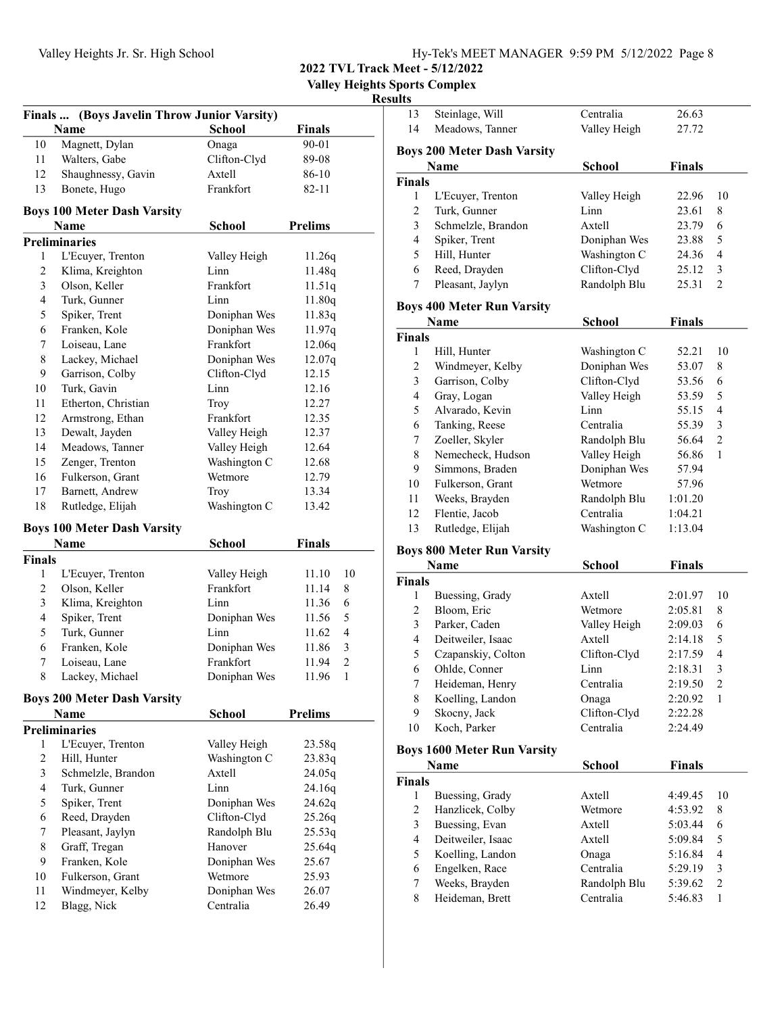| Hy-Tek's MEET MANAGER 9:59 PM 5/12/2022 Page 8 |  |  |
|------------------------------------------------|--|--|
|                                                |  |  |

Valley Heights Sports Complex

| Finals  (Boys Javelin Throw Junior Varsity) |                                    |                           |                                   |  |
|---------------------------------------------|------------------------------------|---------------------------|-----------------------------------|--|
|                                             | Name                               | <b>School</b>             | <b>Finals</b>                     |  |
| 10                                          | Magnett, Dylan                     | Onaga                     | 90-01                             |  |
| 11                                          | Walters, Gabe                      | Clifton-Clyd              | 89-08                             |  |
| 12                                          | Shaughnessy, Gavin                 | Axtell                    | 86-10                             |  |
| 13                                          | Bonete, Hugo                       | Frankfort                 | 82-11                             |  |
|                                             | <b>Boys 100 Meter Dash Varsity</b> |                           |                                   |  |
|                                             | Name                               | <b>School</b>             | <b>Prelims</b>                    |  |
|                                             | <b>Preliminaries</b>               |                           |                                   |  |
| 1                                           | L'Ecuyer, Trenton                  | Valley Heigh              | 11.26q                            |  |
| $\overline{c}$                              | Klima, Kreighton                   | Linn                      | 11.48q                            |  |
| 3                                           | Olson, Keller                      | Frankfort                 | 11.51q                            |  |
| 4                                           | Turk, Gunner                       | Linn                      | 11.80q                            |  |
| 5                                           | Spiker, Trent                      | Doniphan Wes              | 11.83q                            |  |
| 6                                           | Franken, Kole                      | Doniphan Wes              | 11.97q                            |  |
| 7                                           | Loiseau, Lane                      | Frankfort                 | 12.06q                            |  |
| 8                                           | Lackey, Michael                    | Doniphan Wes              | 12.07q                            |  |
| 9                                           | Garrison, Colby                    | Clifton-Clyd              | 12.15                             |  |
| 10                                          | Turk, Gavin                        | Linn                      | 12.16                             |  |
| 11                                          | Etherton, Christian                | Troy                      | 12.27                             |  |
| 12                                          | Armstrong, Ethan                   | Frankfort                 | 12.35                             |  |
| 13                                          | Dewalt, Jayden                     | Valley Heigh              | 12.37                             |  |
| 14                                          | Meadows, Tanner                    | Valley Heigh              | 12.64                             |  |
| 15                                          | Zenger, Trenton                    | Washington C              | 12.68                             |  |
| 16                                          | Fulkerson, Grant                   | Wetmore                   | 12.79                             |  |
| 17                                          | Barnett, Andrew                    | Troy                      | 13.34                             |  |
| 18                                          | Rutledge, Elijah                   | Washington C              | 13.42                             |  |
|                                             |                                    |                           |                                   |  |
|                                             |                                    |                           |                                   |  |
|                                             | <b>Boys 100 Meter Dash Varsity</b> |                           |                                   |  |
|                                             | Name                               | <b>School</b>             | <b>Finals</b>                     |  |
| <b>Finals</b>                               |                                    |                           |                                   |  |
| 1                                           | L'Ecuyer, Trenton                  | Valley Heigh              | 11.10<br>10                       |  |
| $\overline{c}$                              | Olson, Keller                      | Frankfort                 | 11.14<br>8                        |  |
| 3                                           | Klima, Kreighton                   | Linn                      | 11.36<br>6                        |  |
| $\overline{\mathbf{4}}$                     | Spiker, Trent                      | Doniphan Wes              | 5<br>11.56                        |  |
| 5                                           | Turk, Gunner                       | Linn                      | $\overline{\mathcal{L}}$<br>11.62 |  |
| 6                                           | Franken, Kole                      | Doniphan Wes              | 3<br>11.86                        |  |
| 7                                           | Loiseau, Lane                      | Frankfort                 | $\overline{c}$<br>11.94           |  |
| $\,$ 8 $\,$                                 | Lackey, Michael                    | Doniphan Wes              | $\mathbf{1}$<br>11.96             |  |
|                                             | <b>Boys 200 Meter Dash Varsity</b> |                           |                                   |  |
|                                             | Name                               | School                    | <b>Prelims</b>                    |  |
|                                             | <b>Preliminaries</b>               |                           |                                   |  |
| 1                                           | L'Ecuyer, Trenton                  | Valley Heigh              | 23.58q                            |  |
| $\overline{c}$                              | Hill, Hunter                       | Washington C              | 23.83q                            |  |
| 3                                           | Schmelzle, Brandon                 | Axtell                    | 24.05q                            |  |
| 4                                           | Turk, Gunner                       | Linn                      | 24.16q                            |  |
| 5                                           | Spiker, Trent                      | Doniphan Wes              | 24.62q                            |  |
| 6                                           | Reed, Drayden                      | Clifton-Clyd              | 25.26q                            |  |
| 7                                           | Pleasant, Jaylyn                   | Randolph Blu              | 25.53q                            |  |
| 8                                           | Graff, Tregan                      | Hanover                   | 25.64q                            |  |
| 9                                           | Franken, Kole                      | Doniphan Wes              | 25.67                             |  |
| 10                                          | Fulkerson, Grant                   | Wetmore                   | 25.93                             |  |
| 11<br>12                                    | Windmeyer, Kelby<br>Blagg, Nick    | Doniphan Wes<br>Centralia | 26.07<br>26.49                    |  |

| 13                      | Steinlage, Will                            | Centralia     | 26.63         |                         |
|-------------------------|--------------------------------------------|---------------|---------------|-------------------------|
| 14                      | Meadows, Tanner                            | Valley Heigh  | 27.72         |                         |
|                         |                                            |               |               |                         |
|                         | <b>Boys 200 Meter Dash Varsity</b><br>Name | <b>School</b> | <b>Finals</b> |                         |
| <b>Finals</b>           |                                            |               |               |                         |
| 1                       | L'Ecuyer, Trenton                          | Valley Heigh  | 22.96         | 10                      |
| 2                       | Turk, Gunner                               | Linn          | 23.61         | 8                       |
| 3                       | Schmelzle, Brandon                         | Axtell        | 23.79         | 6                       |
| 4                       | Spiker, Trent                              | Doniphan Wes  | 23.88         | 5                       |
| 5                       | Hill, Hunter                               | Washington C  | 24.36         | 4                       |
| 6                       | Reed, Drayden                              | Clifton-Clyd  | 25.12         | $\mathfrak{Z}$          |
| 7                       | Pleasant, Jaylyn                           | Randolph Blu  | 25.31         | $\mathfrak{2}$          |
|                         |                                            |               |               |                         |
|                         | <b>Boys 400 Meter Run Varsity</b>          |               |               |                         |
|                         | Name                                       | <b>School</b> | <b>Finals</b> |                         |
| <b>Finals</b>           |                                            |               |               |                         |
| 1                       | Hill, Hunter                               | Washington C  | 52.21         | 10                      |
| 2                       | Windmeyer, Kelby                           | Doniphan Wes  | 53.07         | 8                       |
| 3                       | Garrison, Colby                            | Clifton-Clyd  | 53.56         | 6                       |
| $\overline{4}$          | Gray, Logan                                | Valley Heigh  | 53.59         | 5                       |
| 5                       | Alvarado, Kevin                            | Linn          | 55.15         | 4                       |
| 6                       | Tanking, Reese                             | Centralia     | 55.39         | 3                       |
| 7                       | Zoeller, Skyler                            | Randolph Blu  | 56.64         | $\overline{c}$          |
| 8                       | Nemecheck, Hudson                          | Valley Heigh  | 56.86         | 1                       |
| 9                       | Simmons, Braden                            | Doniphan Wes  | 57.94         |                         |
| 10                      | Fulkerson, Grant                           | Wetmore       | 57.96         |                         |
| 11                      | Weeks, Brayden                             | Randolph Blu  | 1:01.20       |                         |
| 12                      | Flentie, Jacob                             | Centralia     | 1:04.21       |                         |
| 13                      | Rutledge, Elijah                           | Washington C  | 1:13.04       |                         |
|                         | <b>Boys 800 Meter Run Varsity</b>          |               |               |                         |
|                         | <b>Name</b>                                | <b>School</b> | <b>Finals</b> |                         |
| <b>Finals</b>           |                                            |               |               |                         |
| 1                       | Buessing, Grady                            | Axtell        | 2:01.97       | 10                      |
| 2                       | Bloom, Eric                                | Wetmore       | 2:05.81       | 8                       |
| 3                       | Parker, Caden                              | Valley Heigh  | 2:09.03       | 6                       |
| 4                       | Deitweiler, Isaac                          | Axtell        | 2:14.18       | 5                       |
| 5                       | Czapanskiy, Colton                         | Clifton-Clyd  | 2:17.59       | 4                       |
| 6                       | Ohlde, Conner                              | Linn          | 2:18.31       | 3                       |
| 7                       | Heideman, Henry                            | Centralia     | 2:19.50       | 2                       |
| 8                       | Koelling, Landon                           | Onaga         | 2:20.92       | 1                       |
| 9                       | Skocny, Jack                               | Clifton-Clyd  | 2:22.28       |                         |
| 10                      | Koch, Parker                               | Centralia     | 2:24.49       |                         |
|                         | <b>Boys 1600 Meter Run Varsity</b>         |               |               |                         |
|                         | Name                                       | School        | <b>Finals</b> |                         |
| <b>Finals</b>           |                                            |               |               |                         |
| 1                       | Buessing, Grady                            | Axtell        | 4:49.45       | 10                      |
| 2                       | Hanzlicek, Colby                           | Wetmore       | 4:53.92       | 8                       |
| 3                       | Buessing, Evan                             | Axtell        | 5:03.44       | 6                       |
| $\overline{\mathbf{4}}$ | Deitweiler, Isaac                          | Axtell        | 5:09.84       | 5                       |
| 5                       | Koelling, Landon                           | Onaga         | 5:16.84       | $\overline{\mathbf{4}}$ |
| 6                       | Engelken, Race                             | Centralia     | 5:29.19       | $\mathfrak{Z}$          |
| 7                       | Weeks, Brayden                             | Randolph Blu  | 5:39.62       | $\sqrt{2}$              |
| 8                       | Heideman, Brett                            | Centralia     | 5:46.83       | $\mathbf{1}$            |
|                         |                                            |               |               |                         |
|                         |                                            |               |               |                         |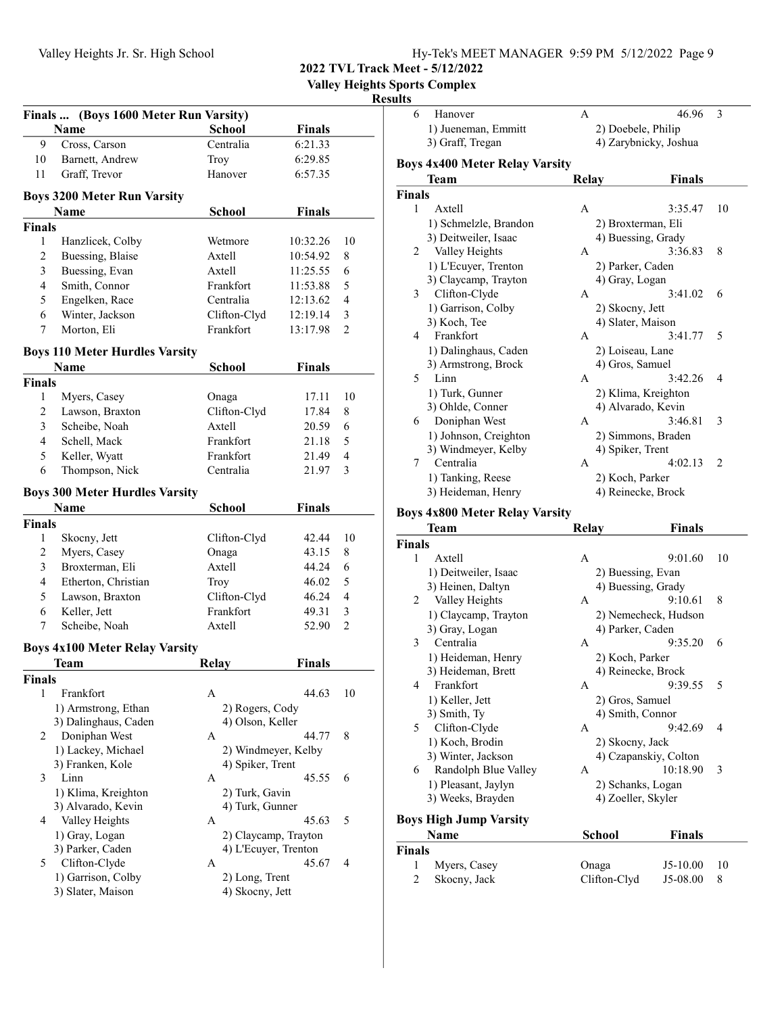| Hv-Tek's MEET MANAGER 9:59 PM 5/12/2022 Page 9 |  |  |
|------------------------------------------------|--|--|
|                                                |  |  |

Valley Heights Sports Complex

#### Results

| Finals  (Boys 1600 Meter Run Varsity) |                                               |                      |               |                |  |
|---------------------------------------|-----------------------------------------------|----------------------|---------------|----------------|--|
|                                       | Name                                          | <b>School</b>        | <b>Finals</b> |                |  |
| 9                                     | Cross, Carson                                 | Centralia            | 6:21.33       |                |  |
| 10                                    | Barnett, Andrew                               | Troy                 | 6:29.85       |                |  |
| 11                                    | Graff, Trevor                                 | Hanover              | 6:57.35       |                |  |
|                                       | <b>Boys 3200 Meter Run Varsity</b>            |                      |               |                |  |
|                                       | Name                                          | School               | <b>Finals</b> |                |  |
| <b>Finals</b>                         |                                               |                      |               |                |  |
| 1                                     | Hanzlicek, Colby                              | Wetmore              | 10:32.26      | 10             |  |
| 2                                     | Buessing, Blaise                              | Axtell               | 10:54.92      | 8              |  |
| 3                                     | Buessing, Evan                                | Axtell               | 11:25.55      | 6              |  |
| 4                                     | Smith, Connor                                 | Frankfort            | 11:53.88      | 5              |  |
| 5                                     | Engelken, Race                                | Centralia            | 12:13.62      | 4              |  |
| 6                                     | Winter, Jackson                               | Clifton-Clyd         | 12:19.14      | 3              |  |
| 7                                     | Morton, Eli                                   | Frankfort            | 13:17.98      | $\overline{2}$ |  |
|                                       |                                               |                      |               |                |  |
|                                       | <b>Boys 110 Meter Hurdles Varsity</b>         |                      |               |                |  |
|                                       | <b>Name</b>                                   | <b>School</b>        | <b>Finals</b> |                |  |
| <b>Finals</b>                         |                                               |                      |               |                |  |
| 1                                     | Myers, Casey                                  | Onaga                | 17.11         | 10             |  |
| 2                                     | Lawson, Braxton                               | Clifton-Clyd         | 17.84         | 8              |  |
| 3                                     | Scheibe, Noah                                 | Axtell               | 20.59         | 6              |  |
| 4                                     | Schell, Mack                                  | Frankfort            | 21.18         | 5              |  |
| 5                                     | Keller, Wyatt                                 | Frankfort            | 21.49         | $\overline{4}$ |  |
| 6                                     | Thompson, Nick                                | Centralia            | 21.97         | 3              |  |
|                                       | <b>Boys 300 Meter Hurdles Varsity</b>         |                      |               |                |  |
|                                       | Name                                          | <b>School</b>        | <b>Finals</b> |                |  |
| <b>Finals</b>                         |                                               |                      |               |                |  |
| 1                                     | Skocny, Jett                                  | Clifton-Clyd         | 42.44         | 10             |  |
| 2                                     | Myers, Casey                                  | Onaga                | 43.15         | 8              |  |
| 3                                     | Broxterman, Eli                               | Axtell               | 44.24         | 6              |  |
| $\overline{4}$                        | Etherton, Christian                           | <b>Troy</b>          | 46.02         | 5              |  |
| 5                                     | Lawson, Braxton                               | Clifton-Clyd         | 46.24         | 4              |  |
| 6                                     | Keller, Jett                                  | Frankfort            | 49.31         | 3              |  |
| 7                                     | Scheibe, Noah                                 | Axtell               | 52.90         | $\overline{c}$ |  |
|                                       |                                               |                      |               |                |  |
|                                       | <b>Boys 4x100 Meter Relay Varsity</b><br>Team | Relay                | <b>Finals</b> |                |  |
| Finals                                |                                               |                      |               |                |  |
| 1                                     | Frankfort                                     | A                    | 44.63         | 10             |  |
|                                       | 1) Armstrong, Ethan                           | 2) Rogers, Cody      |               |                |  |
|                                       | 3) Dalinghaus, Caden                          | 4) Olson, Keller     |               |                |  |
| 2                                     | Doniphan West                                 | A                    | 44.77         | 8              |  |
|                                       | 1) Lackey, Michael                            | 2) Windmeyer, Kelby  |               |                |  |
|                                       | 3) Franken, Kole                              | 4) Spiker, Trent     |               |                |  |
| 3                                     | Linn                                          | A                    | 45.55         | 6              |  |
|                                       | 1) Klima, Kreighton                           | 2) Turk, Gavin       |               |                |  |
|                                       | 3) Alvarado, Kevin                            | 4) Turk, Gunner      |               |                |  |
| 4                                     | Valley Heights                                | А                    | 45.63         | 5              |  |
|                                       | 1) Gray, Logan                                | 2) Claycamp, Trayton |               |                |  |
|                                       | 3) Parker, Caden                              | 4) L'Ecuyer, Trenton |               |                |  |
| 5                                     | Clifton-Clyde                                 | А                    | 45.67         | 4              |  |
|                                       | 1) Garrison, Colby                            | 2) Long, Trent       |               |                |  |
|                                       | 3) Slater, Maison                             | 4) Skocny, Jett      |               |                |  |
|                                       |                                               |                      |               |                |  |

| uw<br>6       | Hanover                               | A            | 46.96                 | 3              |
|---------------|---------------------------------------|--------------|-----------------------|----------------|
|               | 1) Jueneman, Emmitt                   |              | 2) Doebele, Philip    |                |
|               | 3) Graff, Tregan                      |              | 4) Zarybnicky, Joshua |                |
|               | <b>Boys 4x400 Meter Relay Varsity</b> |              |                       |                |
|               | Team                                  | Relay        | <b>Finals</b>         |                |
| <b>Finals</b> |                                       |              |                       |                |
| 1             | Axtell                                | A            | 3:35.47               | 10             |
|               | 1) Schmelzle, Brandon                 |              | 2) Broxterman, Eli    |                |
|               | 3) Deitweiler, Isaac                  |              | 4) Buessing, Grady    |                |
| 2             | Valley Heights                        | A            | 3:36.83               | 8              |
|               | 1) L'Ecuyer, Trenton                  |              | 2) Parker, Caden      |                |
|               | 3) Claycamp, Trayton                  |              | 4) Gray, Logan        |                |
| 3             | Clifton-Clyde                         | A            | 3:41.02               | 6              |
|               | 1) Garrison, Colby                    |              | 2) Skocny, Jett       |                |
|               | 3) Koch, Tee                          |              | 4) Slater, Maison     |                |
| 4             | Frankfort                             | A            | 3:41.77               | 5              |
|               | 1) Dalinghaus, Caden                  |              | 2) Loiseau, Lane      |                |
|               | 3) Armstrong, Brock                   |              | 4) Gros, Samuel       |                |
| 5             | Linn                                  | A            | 3:42.26               | 4              |
|               | 1) Turk, Gunner                       |              | 2) Klima, Kreighton   |                |
|               | 3) Ohlde, Conner                      |              | 4) Alvarado, Kevin    |                |
| 6             | Doniphan West                         | A            | 3:46.81               | 3              |
|               | 1) Johnson, Creighton                 |              | 2) Simmons, Braden    |                |
|               | 3) Windmeyer, Kelby                   |              | 4) Spiker, Trent      |                |
| 7             | Centralia                             | $\mathsf{A}$ | 4:02.13               | $\overline{c}$ |
|               | 1) Tanking, Reese                     |              | 2) Koch, Parker       |                |
|               | 3) Heideman, Henry                    |              | 4) Reinecke, Brock    |                |
|               | <b>Boys 4x800 Meter Relay Varsity</b> |              |                       |                |

#### Boys 4x800 Meter Relay Varsity

|               | <b>Team</b>                   | <b>Relay</b>       | <b>Finals</b>         |    |
|---------------|-------------------------------|--------------------|-----------------------|----|
| <b>Finals</b> |                               |                    |                       |    |
| 1             | Axtell                        | A                  | 9:01.60               | 10 |
|               | 1) Deitweiler, Isaac          | 2) Buessing, Evan  |                       |    |
|               | 3) Heinen, Daltyn             | 4) Buessing, Grady |                       |    |
| 2             | Valley Heights                | A                  | 9:10.61               | 8  |
|               | 1) Claycamp, Trayton          |                    | 2) Nemecheck, Hudson  |    |
|               | 3) Gray, Logan                | 4) Parker, Caden   |                       |    |
| 3             | Centralia                     | A                  | 9:35.20               | 6  |
|               | 1) Heideman, Henry            | 2) Koch, Parker    |                       |    |
|               | 3) Heideman, Brett            | 4) Reinecke, Brock |                       |    |
| 4             | Frankfort                     | $\mathsf{A}$       | 9:39.55               | 5  |
|               | 1) Keller, Jett               | 2) Gros, Samuel    |                       |    |
|               | 3) Smith, Ty                  | 4) Smith, Connor   |                       |    |
| 5             | Clifton-Clyde                 | A                  | 9:42.69               | 4  |
|               | 1) Koch, Brodin               | 2) Skocny, Jack    |                       |    |
|               | 3) Winter, Jackson            |                    | 4) Czapanskiy, Colton |    |
| 6             | Randolph Blue Valley          | A                  | 10:18.90              | 3  |
|               | 1) Pleasant, Jaylyn           | 2) Schanks, Logan  |                       |    |
|               | 3) Weeks, Brayden             | 4) Zoeller, Skyler |                       |    |
|               | <b>Boys High Jump Varsity</b> |                    |                       |    |
|               | <b>Name</b>                   | School             | <b>Finals</b>         |    |
| <b>Finals</b> |                               |                    |                       |    |
| 1             | Myers, Casey                  | Onaga              | $J5-10.00$            | 10 |
| 2             | Skocny, Jack                  | Clifton-Clyd       | J5-08.00              | 8  |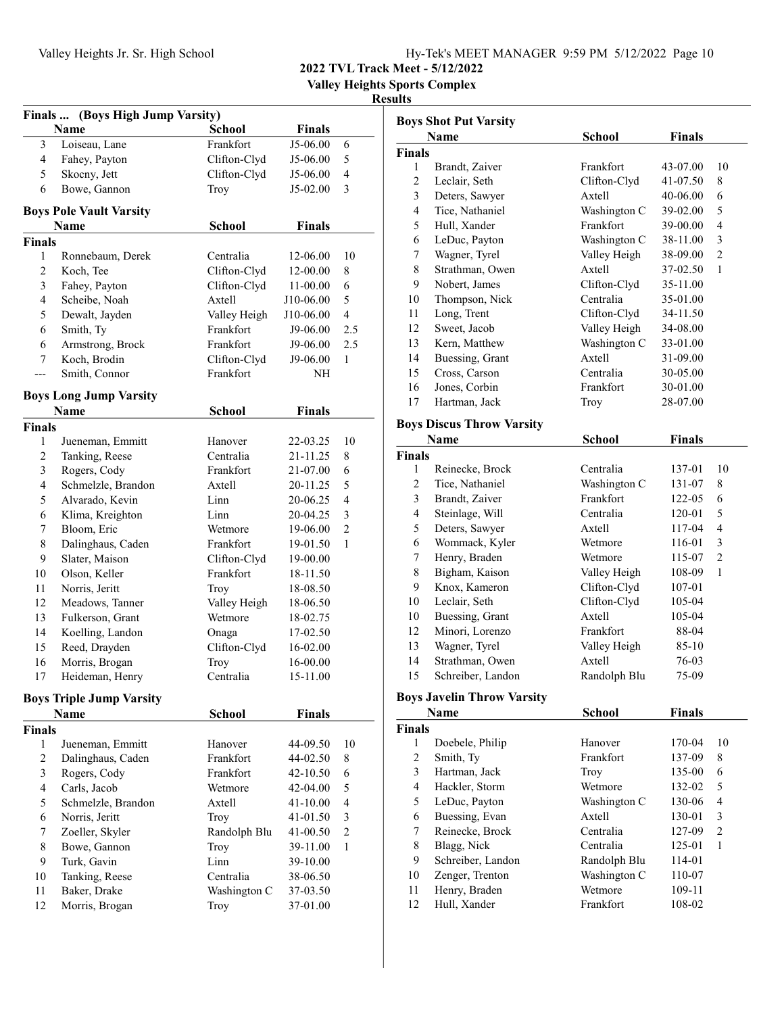Valley Heights Sports Complex

#### Results

| Finals  (Boys High Jump Varsity) |                                 |               |               |                |  |  |
|----------------------------------|---------------------------------|---------------|---------------|----------------|--|--|
|                                  | Name                            | <b>School</b> | <b>Finals</b> |                |  |  |
| 3                                | Loiseau, Lane                   | Frankfort     | J5-06.00      | 6              |  |  |
| 4                                | Fahey, Payton                   | Clifton-Clyd  | J5-06.00      | 5              |  |  |
| 5                                | Skocny, Jett                    | Clifton-Clyd  | J5-06.00      | $\overline{4}$ |  |  |
| 6                                | Bowe, Gannon                    | Troy          | J5-02.00      | 3              |  |  |
|                                  | <b>Boys Pole Vault Varsity</b>  |               |               |                |  |  |
|                                  | Name                            | School        | Finals        |                |  |  |
| <b>Finals</b>                    |                                 |               |               |                |  |  |
| 1                                | Ronnebaum, Derek                | Centralia     | 12-06.00      | 10             |  |  |
| $\mathfrak{2}$                   | Koch, Tee                       | Clifton-Clyd  | 12-00.00      | 8              |  |  |
| 3                                | Fahey, Payton                   | Clifton-Clyd  | 11-00.00      | 6              |  |  |
| 4                                | Scheibe, Noah                   | Axtell        | J10-06.00     | 5              |  |  |
| 5                                | Dewalt, Jayden                  | Valley Heigh  | J10-06.00     | 4              |  |  |
| 6                                | Smith, Ty                       | Frankfort     | J9-06.00      | 2.5            |  |  |
| 6                                | Armstrong, Brock                | Frankfort     | J9-06.00      | 2.5            |  |  |
| 7                                | Koch, Brodin                    | Clifton-Clyd  | J9-06.00      | 1              |  |  |
| ---                              | Smith, Connor                   | Frankfort     | NΗ            |                |  |  |
|                                  | <b>Boys Long Jump Varsity</b>   |               |               |                |  |  |
|                                  | <b>Name</b>                     | School        | <b>Finals</b> |                |  |  |
| Finals                           |                                 |               |               |                |  |  |
| 1                                | Jueneman, Emmitt                | Hanover       | 22-03.25      | 10             |  |  |
| $\sqrt{2}$                       | Tanking, Reese                  | Centralia     | 21-11.25      | 8              |  |  |
| 3                                | Rogers, Cody                    | Frankfort     | 21-07.00      | 6              |  |  |
| 4                                | Schmelzle, Brandon              | Axtell        | 20-11.25      | 5              |  |  |
| 5                                | Alvarado, Kevin                 | Linn          | 20-06.25      | 4              |  |  |
| 6                                | Klima, Kreighton                | Linn          | 20-04.25      | 3              |  |  |
| 7                                | Bloom, Eric                     | Wetmore       | 19-06.00      | $\overline{2}$ |  |  |
| 8                                | Dalinghaus, Caden               | Frankfort     | 19-01.50      | 1              |  |  |
| 9                                | Slater, Maison                  | Clifton-Clyd  | 19-00.00      |                |  |  |
| 10                               | Olson, Keller                   | Frankfort     | 18-11.50      |                |  |  |
| 11                               | Norris, Jeritt                  | Troy          | 18-08.50      |                |  |  |
| 12                               | Meadows, Tanner                 | Valley Heigh  | 18-06.50      |                |  |  |
| 13                               | Fulkerson, Grant                | Wetmore       | 18-02.75      |                |  |  |
| 14                               | Koelling, Landon                | Onaga         | 17-02.50      |                |  |  |
| 15                               | Reed, Drayden                   | Clifton-Clyd  | 16-02.00      |                |  |  |
| 16                               | Morris, Brogan                  | Troy          | 16-00.00      |                |  |  |
| 17                               | Heideman, Henry                 | Centralia     | 15-11.00      |                |  |  |
|                                  | <b>Boys Triple Jump Varsity</b> |               |               |                |  |  |
|                                  | <b>Name</b>                     | <b>School</b> | <b>Finals</b> |                |  |  |
| <b>Finals</b>                    |                                 |               |               |                |  |  |
| 1                                | Jueneman, Emmitt                | Hanover       | 44-09.50      | 10             |  |  |
| $\overline{c}$                   | Dalinghaus, Caden               | Frankfort     | 44-02.50      | 8              |  |  |
| 3                                | Rogers, Cody                    | Frankfort     | 42-10.50      | 6              |  |  |
| $\overline{4}$                   | Carls, Jacob                    | Wetmore       | 42-04.00      | 5              |  |  |
| 5                                | Schmelzle, Brandon              | Axtell        | 41-10.00      | 4              |  |  |
| 6                                | Norris, Jeritt                  | Troy          | 41-01.50      | 3              |  |  |
| 7                                | Zoeller, Skyler                 | Randolph Blu  | 41-00.50      | $\overline{2}$ |  |  |
| 8                                | Bowe, Gannon                    | Troy          | 39-11.00      | 1              |  |  |
| 9                                | Turk, Gavin                     | Linn          | 39-10.00      |                |  |  |
| 10                               | Tanking, Reese                  | Centralia     | 38-06.50      |                |  |  |
| 11                               | Baker, Drake                    | Washington C  | 37-03.50      |                |  |  |
| 12                               | Morris, Brogan                  | Troy          | 37-01.00      |                |  |  |
|                                  |                                 |               |               |                |  |  |

| <b>Boys Shot Put Varsity</b>    |                                  |              |               |    |
|---------------------------------|----------------------------------|--------------|---------------|----|
|                                 | Name                             | School       | <b>Finals</b> |    |
| <b>Finals</b>                   |                                  |              |               |    |
| 1                               | Brandt, Zaiver                   | Frankfort    | 43-07.00      | 10 |
| 2                               | Leclair, Seth                    | Clifton-Clyd | 41-07.50      | 8  |
| 3                               | Deters, Sawyer                   | Axtell       | 40-06.00      | 6  |
| 4                               | Tice, Nathaniel                  | Washington C | 39-02.00      | 5  |
| 5                               | Hull, Xander                     | Frankfort    | 39-00.00      | 4  |
| 6                               | LeDuc, Payton                    | Washington C | 38-11.00      | 3  |
| 7                               | Wagner, Tyrel                    | Valley Heigh | 38-09.00      | 2  |
| 8                               | Strathman, Owen                  | Axtell       | 37-02.50      | 1  |
| 9                               | Nobert, James                    | Clifton-Clyd | 35-11.00      |    |
| 10                              | Thompson, Nick                   | Centralia    | 35-01.00      |    |
| 11                              | Long, Trent                      | Clifton-Clyd | 34-11.50      |    |
| 12                              | Sweet, Jacob                     | Valley Heigh | 34-08.00      |    |
| 13                              | Kern, Matthew                    | Washington C | 33-01.00      |    |
| 14                              | Buessing, Grant                  | Axtell       | 31-09.00      |    |
| 15                              | Cross, Carson                    | Centralia    | 30-05.00      |    |
| 16                              | Jones, Corbin                    | Frankfort    | 30-01.00      |    |
| 17                              | Hartman, Jack                    | Troy         | 28-07.00      |    |
|                                 | <b>Boys Discus Throw Varsity</b> |              |               |    |
| <b>Finals</b><br>Name<br>School |                                  |              |               |    |

### Finals 1 Reinecke, Brock Centralia 137-01 10 2 Tice, Nathaniel Washington C 131-07 8 3 122-05 6 Brandt, Zaiver Frankfort 4 Steinlage, Will Centralia 120-01 5 5 Deters, Sawyer 117-04 4<br>6 Wommack, Kyler Wetmore 116-01 3 Wommack, Kyler Wetmore 116-01 3 7 Henry, Braden Wetmore 115-07 2 8 Bigham, Kaison Valley Heigh 108-09 1 9 Knox, Kameron Clifton-Clyd 107-01 10 Leclair, Seth Clifton-Clyd 105-04 10 Buessing, Grant Axtell 105-04<br>12 Minori, Lorenzo Frankfort 88-04 12 88-04 Minori, Lorenzo Frankfort 13 Wagner, Tyrel Valley Heigh 85-10 14 76-03 Strathman, Owen Axtell 15 Schreiber, Landon Randolph Blu 75-09

### Boys Javelin Throw Varsity

| Name          |                   | School       | <b>Finals</b> |    |
|---------------|-------------------|--------------|---------------|----|
| <b>Finals</b> |                   |              |               |    |
| 1             | Doebele, Philip   | Hanover      | 170-04        | 10 |
| 2             | Smith, Ty         | Frankfort    | 137-09        | 8  |
| 3             | Hartman, Jack     | Troy         | 135-00        | 6  |
| 4             | Hackler, Storm    | Wetmore      | 132-02        | 5  |
| 5             | LeDuc, Payton     | Washington C | 130-06        | 4  |
| 6             | Buessing, Evan    | Axtell       | 130-01        | 3  |
| 7             | Reinecke, Brock   | Centralia    | 127-09        | 2  |
| 8             | Blagg, Nick       | Centralia    | 125-01        | 1  |
| 9             | Schreiber, Landon | Randolph Blu | 114-01        |    |
| 10            | Zenger, Trenton   | Washington C | 110-07        |    |
| 11            | Henry, Braden     | Wetmore      | 109-11        |    |
| 12            | Hull, Xander      | Frankfort    | 108-02        |    |